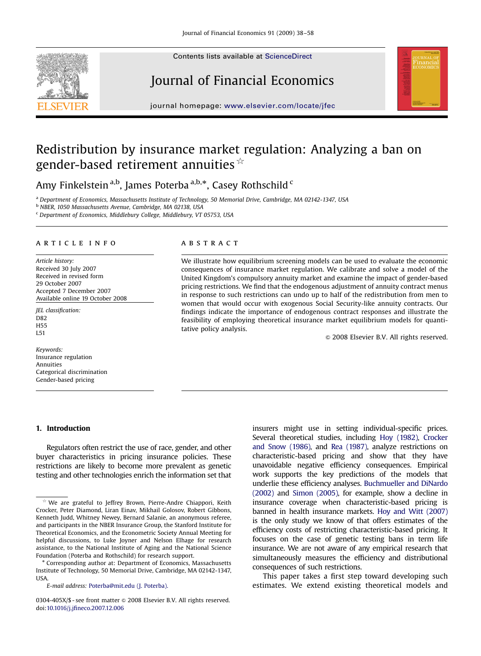Contents lists available at [ScienceDirect](www.elsevier.com/locate/jfec)

# Journal of Financial Economics



journal homepage: <www.elsevier.com/locate/jfec>

# Redistribution by insurance market regulation: Analyzing a ban on gender-based retirement annuities  $\dot{x}$

Amy Finkelstein <sup>a,b</sup>, James Poterba <sup>a,b,\*</sup>, Casey Rothschild <sup>c</sup>

a Department of Economics, Massachusetts Institute of Technology, 50 Memorial Drive, Cambridge, MA 02142-1347, USA

<sup>b</sup> NBER, 1050 Massachusetts Avenue, Cambridge, MA 02138, USA

<sup>c</sup> Department of Economics, Middlebury College, Middlebury, VT 05753, USA

## article info

Article history: Received 30 July 2007 Received in revised form 29 October 2007 Accepted 7 December 2007 Available online 19 October 2008

JEL classification: D82 H55 L51

Keywords: Insurance regulation Annuities Categorical discrimination Gender-based pricing

# **ABSTRACT**

We illustrate how equilibrium screening models can be used to evaluate the economic consequences of insurance market regulation. We calibrate and solve a model of the United Kingdom's compulsory annuity market and examine the impact of gender-based pricing restrictions. We find that the endogenous adjustment of annuity contract menus in response to such restrictions can undo up to half of the redistribution from men to women that would occur with exogenous Social Security-like annuity contracts. Our findings indicate the importance of endogenous contract responses and illustrate the feasibility of employing theoretical insurance market equilibrium models for quantitative policy analysis.

 $\odot$  2008 Elsevier B.V. All rights reserved.

# 1. Introduction

Regulators often restrict the use of race, gender, and other buyer characteristics in pricing insurance policies. These restrictions are likely to become more prevalent as genetic testing and other technologies enrich the information set that

E-mail address: [Poterba@mit.edu \(J. Poterba\).](mailto:Poterba@mit.edu)

insurers might use in setting individual-specific prices. Several theoretical studies, including [Hoy \(1982\)](#page-20-0), [Crocker](#page-20-0) [and Snow \(1986\)](#page-20-0), and [Rea \(1987\),](#page-20-0) analyze restrictions on characteristic-based pricing and show that they have unavoidable negative efficiency consequences. Empirical work supports the key predictions of the models that underlie these efficiency analyses. [Buchmueller and DiNardo](#page-20-0) [\(2002\)](#page-20-0) and [Simon \(2005\),](#page-20-0) for example, show a decline in insurance coverage when characteristic-based pricing is banned in health insurance markets. [Hoy and Witt \(2007\)](#page-20-0) is the only study we know of that offers estimates of the efficiency costs of restricting characteristic-based pricing. It focuses on the case of genetic testing bans in term life insurance. We are not aware of any empirical research that simultaneously measures the efficiency and distributional consequences of such restrictions.

This paper takes a first step toward developing such estimates. We extend existing theoretical models and

 $*$  We are grateful to Jeffrey Brown, Pierre-Andre Chiappori, Keith Crocker, Peter Diamond, Liran Einav, Mikhail Golosov, Robert Gibbons, Kenneth Judd, Whitney Newey, Bernard Salanie, an anonymous referee, and participants in the NBER Insurance Group, the Stanford Institute for Theoretical Economics, and the Econometric Society Annual Meeting for helpful discussions, to Luke Joyner and Nelson Elhage for research assistance, to the National Institute of Aging and the National Science Foundation (Poterba and Rothschild) for research support.

Corresponding author at: Department of Economics, Massachusetts Institute of Technology, 50 Memorial Drive, Cambridge, MA 02142-1347, USA.

<sup>0304-405</sup>X/\$ - see front matter  $\odot$  2008 Elsevier B.V. All rights reserved. doi:[10.1016/j.jfineco.2007.12.006](dx.doi.org/10.1016/j.jfineco.2007.12.006)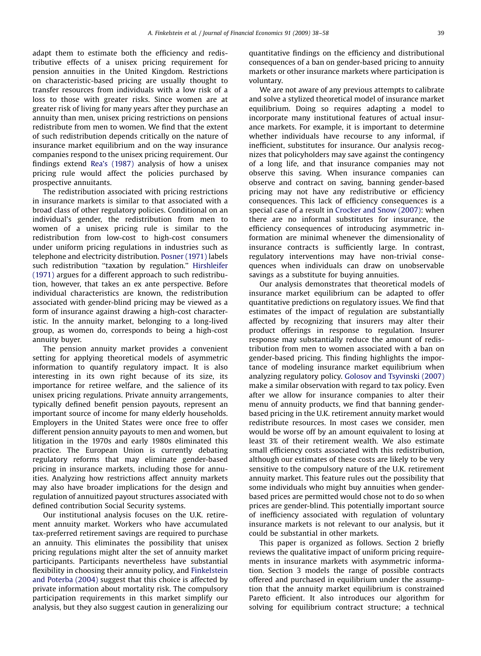adapt them to estimate both the efficiency and redistributive effects of a unisex pricing requirement for pension annuities in the United Kingdom. Restrictions on characteristic-based pricing are usually thought to transfer resources from individuals with a low risk of a loss to those with greater risks. Since women are at greater risk of living for many years after they purchase an annuity than men, unisex pricing restrictions on pensions redistribute from men to women. We find that the extent of such redistribution depends critically on the nature of insurance market equilibrium and on the way insurance companies respond to the unisex pricing requirement. Our findings extend [Rea's \(1987\)](#page-20-0) analysis of how a unisex pricing rule would affect the policies purchased by prospective annuitants.

The redistribution associated with pricing restrictions in insurance markets is similar to that associated with a broad class of other regulatory policies. Conditional on an individual's gender, the redistribution from men to women of a unisex pricing rule is similar to the redistribution from low-cost to high-cost consumers under uniform pricing regulations in industries such as telephone and electricity distribution. [Posner \(1971\)](#page-20-0) labels such redistribution "taxation by regulation." [Hirshleifer](#page-20-0) [\(1971\)](#page-20-0) argues for a different approach to such redistribution, however, that takes an ex ante perspective. Before individual characteristics are known, the redistribution associated with gender-blind pricing may be viewed as a form of insurance against drawing a high-cost characteristic. In the annuity market, belonging to a long-lived group, as women do, corresponds to being a high-cost annuity buyer.

The pension annuity market provides a convenient setting for applying theoretical models of asymmetric information to quantify regulatory impact. It is also interesting in its own right because of its size, its importance for retiree welfare, and the salience of its unisex pricing regulations. Private annuity arrangements, typically defined benefit pension payouts, represent an important source of income for many elderly households. Employers in the United States were once free to offer different pension annuity payouts to men and women, but litigation in the 1970s and early 1980s eliminated this practice. The European Union is currently debating regulatory reforms that may eliminate gender-based pricing in insurance markets, including those for annuities. Analyzing how restrictions affect annuity markets may also have broader implications for the design and regulation of annuitized payout structures associated with defined contribution Social Security systems.

Our institutional analysis focuses on the U.K. retirement annuity market. Workers who have accumulated tax-preferred retirement savings are required to purchase an annuity. This eliminates the possibility that unisex pricing regulations might alter the set of annuity market participants. Participants nevertheless have substantial flexibility in choosing their annuity policy, and [Finkelstein](#page-20-0) [and Poterba \(2004\)](#page-20-0) suggest that this choice is affected by private information about mortality risk. The compulsory participation requirements in this market simplify our analysis, but they also suggest caution in generalizing our

quantitative findings on the efficiency and distributional consequences of a ban on gender-based pricing to annuity markets or other insurance markets where participation is voluntary.

We are not aware of any previous attempts to calibrate and solve a stylized theoretical model of insurance market equilibrium. Doing so requires adapting a model to incorporate many institutional features of actual insurance markets. For example, it is important to determine whether individuals have recourse to any informal, if inefficient, substitutes for insurance. Our analysis recognizes that policyholders may save against the contingency of a long life, and that insurance companies may not observe this saving. When insurance companies can observe and contract on saving, banning gender-based pricing may not have any redistributive or efficiency consequences. This lack of efficiency consequences is a special case of a result in [Crocker and Snow \(2007\)](#page-20-0): when there are no informal substitutes for insurance, the efficiency consequences of introducing asymmetric information are minimal whenever the dimensionality of insurance contracts is sufficiently large. In contrast, regulatory interventions may have non-trivial consequences when individuals can draw on unobservable savings as a substitute for buying annuities.

Our analysis demonstrates that theoretical models of insurance market equilibrium can be adapted to offer quantitative predictions on regulatory issues. We find that estimates of the impact of regulation are substantially affected by recognizing that insurers may alter their product offerings in response to regulation. Insurer response may substantially reduce the amount of redistribution from men to women associated with a ban on gender-based pricing. This finding highlights the importance of modeling insurance market equilibrium when analyzing regulatory policy. [Golosov and Tsyvinski \(2007\)](#page-20-0) make a similar observation with regard to tax policy. Even after we allow for insurance companies to alter their menu of annuity products, we find that banning genderbased pricing in the U.K. retirement annuity market would redistribute resources. In most cases we consider, men would be worse off by an amount equivalent to losing at least 3% of their retirement wealth. We also estimate small efficiency costs associated with this redistribution, although our estimates of these costs are likely to be very sensitive to the compulsory nature of the U.K. retirement annuity market. This feature rules out the possibility that some individuals who might buy annuities when genderbased prices are permitted would chose not to do so when prices are gender-blind. This potentially important source of inefficiency associated with regulation of voluntary insurance markets is not relevant to our analysis, but it could be substantial in other markets.

This paper is organized as follows. Section 2 briefly reviews the qualitative impact of uniform pricing requirements in insurance markets with asymmetric information. Section 3 models the range of possible contracts offered and purchased in equilibrium under the assumption that the annuity market equilibrium is constrained Pareto efficient. It also introduces our algorithm for solving for equilibrium contract structure; a technical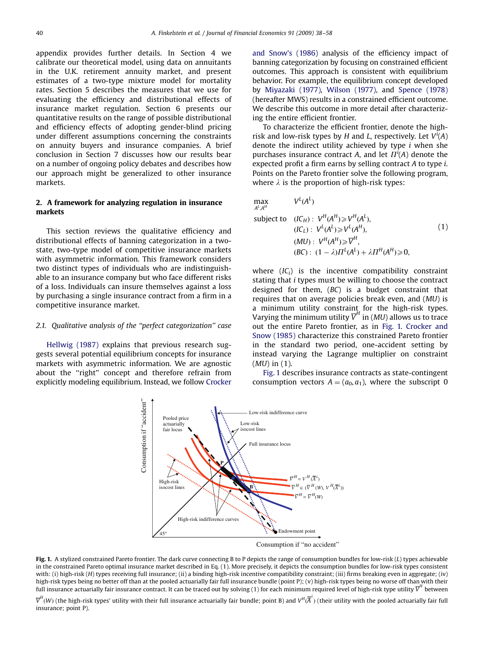<span id="page-2-0"></span>appendix provides further details. In Section 4 we calibrate our theoretical model, using data on annuitants in the U.K. retirement annuity market, and present estimates of a two-type mixture model for mortality rates. Section 5 describes the measures that we use for evaluating the efficiency and distributional effects of insurance market regulation. Section 6 presents our quantitative results on the range of possible distributional and efficiency effects of adopting gender-blind pricing under different assumptions concerning the constraints on annuity buyers and insurance companies. A brief conclusion in Section 7 discusses how our results bear on a number of ongoing policy debates and describes how our approach might be generalized to other insurance markets.

# 2. A framework for analyzing regulation in insurance markets

This section reviews the qualitative efficiency and distributional effects of banning categorization in a twostate, two-type model of competitive insurance markets with asymmetric information. This framework considers two distinct types of individuals who are indistinguishable to an insurance company but who face different risks of a loss. Individuals can insure themselves against a loss by purchasing a single insurance contract from a firm in a competitive insurance market.

## 2.1. Qualitative analysis of the ''perfect categorization'' case

[Hellwig \(1987\)](#page-20-0) explains that previous research suggests several potential equilibrium concepts for insurance markets with asymmetric information. We are agnostic about the "right" concept and therefore refrain from explicitly modeling equilibrium. Instead, we follow [Crocker](#page-20-0)

[and Snow's \(1986\)](#page-20-0) analysis of the efficiency impact of banning categorization by focusing on constrained efficient outcomes. This approach is consistent with equilibrium behavior. For example, the equilibrium concept developed by [Miyazaki \(1977\)](#page-20-0), [Wilson \(1977\),](#page-20-0) and [Spence \(1978\)](#page-20-0) (hereafter MWS) results in a constrained efficient outcome. We describe this outcome in more detail after characterizing the entire efficient frontier.

To characterize the efficient frontier, denote the highrisk and low-risk types by H and L, respectively. Let  $V^i(A)$ denote the indirect utility achieved by type  $i$  when she purchases insurance contract A, and let  $\Pi^{i}(A)$  denote the expected profit a firm earns by selling contract A to type i. Points on the Pareto frontier solve the following program, where  $\lambda$  is the proportion of high-risk types:

$$
\max_{A^L, A^H} V^L(A^L)
$$
\nsubject to\n
$$
(IC_H) : V^H(A^H) \geq V^H(A^L),
$$
\n
$$
(IC_L) : V^L(A^L) \geq V^L(A^H),
$$
\n
$$
(MU) : V^H(A^H) \geq \overline{V}^H,
$$
\n
$$
(BC) : (1 - \lambda) \prod^L (A^L) + \lambda \prod^H (A^H) \geq 0,
$$
\n
$$
(1)
$$

where  $(IC_i)$  is the incentive compatibility constraint stating that *i* types must be willing to choose the contract designed for them,  $(BC)$  is a budget constraint that requires that on average policies break even, and (MU) is a minimum utility constraint for the high-risk types. Varying the minimum utility  $\overline{V}^H$  in (MU) allows us to trace out the entire Pareto frontier, as in Fig. 1. [Crocker and](#page-20-0) [Snow \(1985\)](#page-20-0) characterize this constrained Pareto frontier in the standard two period, one-accident setting by instead varying the Lagrange multiplier on constraint (MU) in (1).

Fig. 1 describes insurance contracts as state-contingent consumption vectors  $A = (a_0, a_1)$ , where the subscript 0



Consumption if "no accident"

Fig. 1. A stylized constrained Pareto frontier. The dark curve connecting B to P depicts the range of consumption bundles for low-risk  $(L)$  types achievable in the constrained Pareto optimal insurance market described in Eq. (1). More precisely, it depicts the consumption bundles for low-risk types consistent with: (i) high-risk (H) types receiving full insurance; (ii) a binding high-risk incentive compatibility constraint; (iii) firms breaking even in aggregate; (iv) high-risk types being no better off than at the pooled actuarially fair full insurance bundle (point P); (v) high-risk types being no worse off than with their full insurance actuarially fair insurance contract. It can be traced out by solving (1) for each minimum required level of high-risk type utility  $\overline{V}^H$  between

 $\overline{V}^H(W)$  (the high-risk types' utility with their full insurance actuarially fair bundle; point B) and  $V^H(\overline{\overline{A}}^{\lambda})$  (their utility with the pooled actuarially fair full insurance; point P).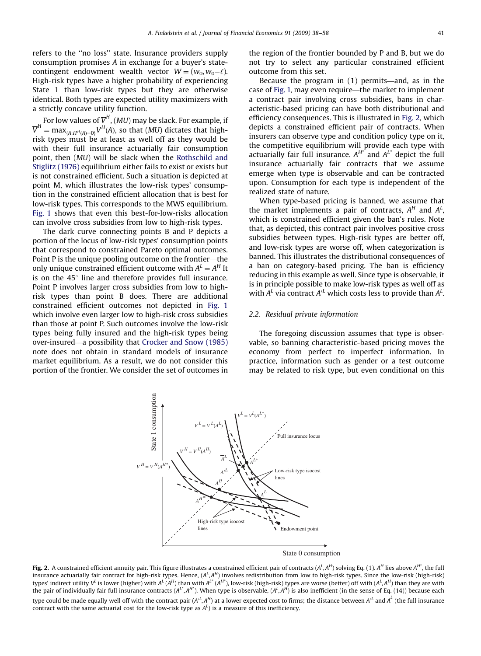<span id="page-3-0"></span>refers to the ''no loss'' state. Insurance providers supply consumption promises A in exchange for a buyer's statecontingent endowment wealth vector  $W = (w_0, w_0 - \ell)$ . High-risk types have a higher probability of experiencing State 1 than low-risk types but they are otherwise identical. Both types are expected utility maximizers with a strictly concave utility function.

For low values of  $\overline{V}^H$ , (*MU*) may be slack. For example, if  $\overline{V}^H = \max_{\{A: \Pi^H(A)=0\}} V^H(A)$ , so that (*MU*) dictates that highrisk types must be at least as well off as they would be with their full insurance actuarially fair consumption point, then (MU) will be slack when the [Rothschild and](#page-20-0) [Stiglitz \(1976\)](#page-20-0) equilibrium either fails to exist or exists but is not constrained efficient. Such a situation is depicted at point M, which illustrates the low-risk types' consumption in the constrained efficient allocation that is best for low-risk types. This corresponds to the MWS equilibrium. [Fig. 1](#page-2-0) shows that even this best-for-low-risks allocation can involve cross subsidies from low to high-risk types.

The dark curve connecting points B and P depicts a portion of the locus of low-risk types' consumption points that correspond to constrained Pareto optimal outcomes. Point P is the unique pooling outcome on the frontier—the only unique constrained efficient outcome with  $A<sup>L</sup> = A<sup>H</sup>$  It is on the  $45^\circ$  line and therefore provides full insurance. Point P involves larger cross subsidies from low to highrisk types than point B does. There are additional constrained efficient outcomes not depicted in [Fig. 1](#page-2-0) which involve even larger low to high-risk cross subsidies than those at point P. Such outcomes involve the low-risk types being fully insured and the high-risk types being over-insured—a possibility that [Crocker and Snow \(1985\)](#page-20-0) note does not obtain in standard models of insurance market equilibrium. As a result, we do not consider this portion of the frontier. We consider the set of outcomes in the region of the frontier bounded by P and B, but we do not try to select any particular constrained efficient outcome from this set.

Because the program in (1) permits—and, as in the case of [Fig. 1,](#page-2-0) may even require—the market to implement a contract pair involving cross subsidies, bans in characteristic-based pricing can have both distributional and efficiency consequences. This is illustrated in Fig. 2, which depicts a constrained efficient pair of contracts. When insurers can observe type and condition policy type on it, the competitive equilibrium will provide each type with actuarially fair full insurance.  $A^{H^*}$  and  $A^{L^*}$  depict the full insurance actuarially fair contracts that we assume emerge when type is observable and can be contracted upon. Consumption for each type is independent of the realized state of nature.

When type-based pricing is banned, we assume that the market implements a pair of contracts,  $A^H$  and  $A^L$ , which is constrained efficient given the ban's rules. Note that, as depicted, this contract pair involves positive cross subsidies between types. High-risk types are better off, and low-risk types are worse off, when categorization is banned. This illustrates the distributional consequences of a ban on category-based pricing. The ban is efficiency reducing in this example as well. Since type is observable, it is in principle possible to make low-risk types as well off as with  $A^L$  via contract  $A^{\prime L}$  which costs less to provide than  $A^L$ .

#### 2.2. Residual private information

The foregoing discussion assumes that type is observable, so banning characteristic-based pricing moves the economy from perfect to imperfect information. In practice, information such as gender or a test outcome may be related to risk type, but even conditional on this



State 0 consumption

Fig. 2. A constrained efficient annuity pair. This figure illustrates a constrained efficient pair of contracts  $(A^L, A^H)$  solving Eq. (1).  $A^H$  lies above  $A^{H^*}$ , the full insurance actuarially fair contract for high-risk types. Hence,  $(A^L, A^H)$  involves redistribution from low to high-risk types. Since the low-risk (high-risk) types' indirect utility  $V^L$  is lower (higher) with  $A^L (A^H)$  than with  $A^L (A^H)$ , low-risk (high-risk) types are worse (better) off with  $(A^L, A^H)$  than they are with the pair of individually fair full insurance contracts  $(A^{L^*},A^{H^*})$ . When type is observable,  $(A^L, A^H)$  is also inefficient (in the sense of Eq. (14)) because each

type could be made equally well off with the contract pair (A<sup>,L</sup>,A<sup>H</sup>) at a lower expected cost to firms; the distance between A<sup>,L</sup> and  $\overline{A}^L$  (the full insurance contract with the same actuarial cost for the low-risk type as  $A<sup>L</sup>$ ) is a measure of this inefficiency.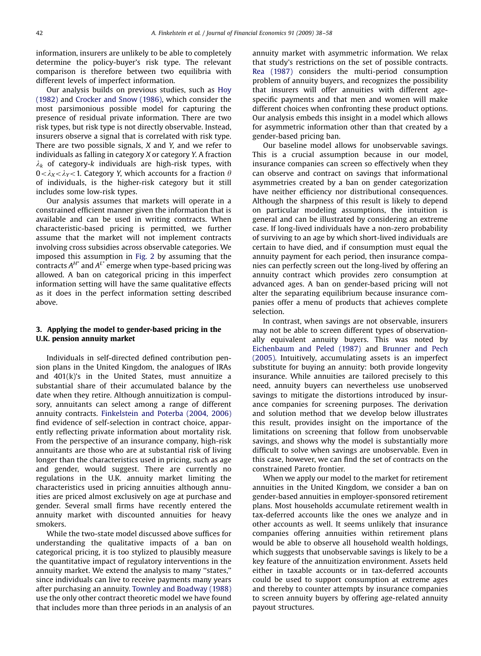information, insurers are unlikely to be able to completely determine the policy-buyer's risk type. The relevant comparison is therefore between two equilibria with different levels of imperfect information.

Our analysis builds on previous studies, such as [Hoy](#page-20-0) [\(1982\)](#page-20-0) and [Crocker and Snow \(1986\)](#page-20-0), which consider the most parsimonious possible model for capturing the presence of residual private information. There are two risk types, but risk type is not directly observable. Instead, insurers observe a signal that is correlated with risk type. There are two possible signals, X and Y, and we refer to individuals as falling in category X or category Y. A fraction  $\lambda_k$  of category-k individuals are high-risk types, with  $0<\lambda_X<\lambda_Y<1$ . Category Y, which accounts for a fraction  $\theta$ of individuals, is the higher-risk category but it still includes some low-risk types.

Our analysis assumes that markets will operate in a constrained efficient manner given the information that is available and can be used in writing contracts. When characteristic-based pricing is permitted, we further assume that the market will not implement contracts involving cross subsidies across observable categories. We imposed this assumption in [Fig. 2](#page-3-0) by assuming that the contracts  $A^{H^*}$  and  $A^{L^*}$  emerge when type-based pricing was allowed. A ban on categorical pricing in this imperfect information setting will have the same qualitative effects as it does in the perfect information setting described above.

# 3. Applying the model to gender-based pricing in the U.K. pension annuity market

Individuals in self-directed defined contribution pension plans in the United Kingdom, the analogues of IRAs and 401(k)'s in the United States, must annuitize a substantial share of their accumulated balance by the date when they retire. Although annuitization is compulsory, annuitants can select among a range of different annuity contracts. [Finkelstein and Poterba \(2004, 2006\)](#page-20-0) find evidence of self-selection in contract choice, apparently reflecting private information about mortality risk. From the perspective of an insurance company, high-risk annuitants are those who are at substantial risk of living longer than the characteristics used in pricing, such as age and gender, would suggest. There are currently no regulations in the U.K. annuity market limiting the characteristics used in pricing annuities although annuities are priced almost exclusively on age at purchase and gender. Several small firms have recently entered the annuity market with discounted annuities for heavy smokers.

While the two-state model discussed above suffices for understanding the qualitative impacts of a ban on categorical pricing, it is too stylized to plausibly measure the quantitative impact of regulatory interventions in the annuity market. We extend the analysis to many ''states,'' since individuals can live to receive payments many years after purchasing an annuity. [Townley and Boadway \(1988\)](#page-20-0) use the only other contract theoretic model we have found that includes more than three periods in an analysis of an annuity market with asymmetric information. We relax that study's restrictions on the set of possible contracts. [Rea \(1987\)](#page-20-0) considers the multi-period consumption problem of annuity buyers, and recognizes the possibility that insurers will offer annuities with different agespecific payments and that men and women will make different choices when confronting these product options. Our analysis embeds this insight in a model which allows for asymmetric information other than that created by a gender-based pricing ban.

Our baseline model allows for unobservable savings. This is a crucial assumption because in our model, insurance companies can screen so effectively when they can observe and contract on savings that informational asymmetries created by a ban on gender categorization have neither efficiency nor distributional consequences. Although the sharpness of this result is likely to depend on particular modeling assumptions, the intuition is general and can be illustrated by considering an extreme case. If long-lived individuals have a non-zero probability of surviving to an age by which short-lived individuals are certain to have died, and if consumption must equal the annuity payment for each period, then insurance companies can perfectly screen out the long-lived by offering an annuity contract which provides zero consumption at advanced ages. A ban on gender-based pricing will not alter the separating equilibrium because insurance companies offer a menu of products that achieves complete selection.

In contrast, when savings are not observable, insurers may not be able to screen different types of observationally equivalent annuity buyers. This was noted by [Eichenbaum and Peled \(1987\)](#page-20-0) and [Brunner and Pech](#page-20-0) [\(2005\)](#page-20-0). Intuitively, accumulating assets is an imperfect substitute for buying an annuity: both provide longevity insurance. While annuities are tailored precisely to this need, annuity buyers can nevertheless use unobserved savings to mitigate the distortions introduced by insurance companies for screening purposes. The derivation and solution method that we develop below illustrates this result, provides insight on the importance of the limitations on screening that follow from unobservable savings, and shows why the model is substantially more difficult to solve when savings are unobservable. Even in this case, however, we can find the set of contracts on the constrained Pareto frontier.

When we apply our model to the market for retirement annuities in the United Kingdom, we consider a ban on gender-based annuities in employer-sponsored retirement plans. Most households accumulate retirement wealth in tax-deferred accounts like the ones we analyze and in other accounts as well. It seems unlikely that insurance companies offering annuities within retirement plans would be able to observe all household wealth holdings, which suggests that unobservable savings is likely to be a key feature of the annuitization environment. Assets held either in taxable accounts or in tax-deferred accounts could be used to support consumption at extreme ages and thereby to counter attempts by insurance companies to screen annuity buyers by offering age-related annuity payout structures.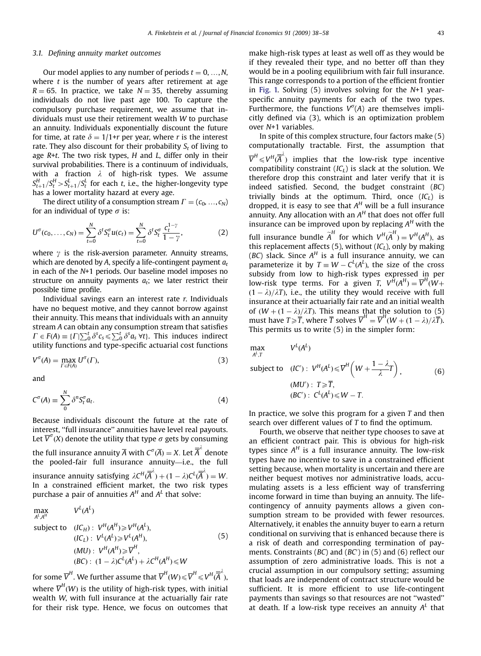#### 3.1. Defining annuity market outcomes

Our model applies to any number of periods  $t = 0, \dots, N$ . where  $t$  is the number of years after retirement at age  $R = 65$ . In practice, we take  $N = 35$ , thereby assuming individuals do not live past age 100. To capture the compulsory purchase requirement, we assume that individuals must use their retirement wealth W to purchase an annuity. Individuals exponentially discount the future for time, at rate  $\delta = 1/1+r$  per year, where r is the interest rate. They also discount for their probability  $S_t$  of living to age  $R+t$ . The two risk types,  $H$  and  $L$ , differ only in their survival probabilities. There is a continuum of individuals, with a fraction  $\lambda$  of high-risk types. We assume  $S_{t+1}^H/S_t^H\!>\!S_{t+1}^L/S_t^L$  for each t, i.e., the higher-longevity type has a lower mortality hazard at every age.

The direct utility of a consumption stream  $\Gamma = (c_0, ..., c_N)$ for an individual of type  $\sigma$  is:

$$
U^{\sigma}(c_0, ..., c_N) = \sum_{t=0}^{N} \delta^t S_t^{\sigma} u(c_t) = \sum_{t=0}^{N} \delta^t S_t^{\sigma} \frac{c_t^{1-\gamma}}{1-\gamma},
$$
 (2)

where  $\gamma$  is the risk-aversion parameter. Annuity streams, which are denoted by A, specify a life-contingent payment  $a_t$ in each of the N+1 periods. Our baseline model imposes no structure on annuity payments  $a_t$ ; we later restrict their possible time profile.

Individual savings earn an interest rate r. Individuals have no bequest motive, and they cannot borrow against their annuity. This means that individuals with an annuity stream A can obtain any consumption stream that satisfies  $\Gamma \in F(A) \equiv \{\Gamma | \sum_{0}^{t} \delta^{s} c_{s} \leq \sum_{0}^{t} \delta^{s} a_{s} \forall t\}.$  This induces indirect utility functions and type-specific actuarial cost functions

$$
V^{\sigma}(A) = \max_{\Gamma \in F(A)} U^{\sigma}(\Gamma), \tag{3}
$$

and

max

 $V^L(A^L)$ 

$$
C^{\sigma}(A) \equiv \sum_{0}^{N} \delta^{n} S_{t}^{\sigma} a_{t}.
$$
 (4)

Because individuals discount the future at the rate of interest, ''full insurance'' annuities have level real payouts. Let  $\overline{V}^{\sigma}(X)$  denote the utility that type  $\sigma$  gets by consuming the full insurance annuity  $\overline{A}$  with  $C^{\sigma}(\overline{A}) = X$ . Let  $\overline{\overline{A}}^{\lambda}$  denote the pooled-fair full insurance annuity—i.e., the full insurance annuity satisfying  $\lambda C^H(\overline{\overline{A}}^{\lambda}) + (1-\lambda)C^L(\overline{\overline{A}}^{\lambda}) = W.$ In a constrained efficient market, the two risk types purchase a pair of annuities  $A<sup>H</sup>$  and  $A<sup>L</sup>$  that solve:

$$
A^{L}A^{H}
$$
\nsubject to\n
$$
(IC_{H}): V^{H}(A^{H}) \geq V^{H}(A^{L}),
$$
\n
$$
(IC_{L}): V^{L}(A^{L}) \geq V^{L}(A^{H}),
$$
\n
$$
(MU): V^{H}(A^{H}) \geq \overline{V}^{H},
$$
\n
$$
(BC): (1 - \lambda)C^{L}(A^{L}) + \lambda C^{H}(A^{H}) \leq W
$$
\n(5)

for some  $\overline{V}^H.$  We further assume that  $\overline{V}^H(W){\leq}\overline{V}^H{\leqslant}V^H(\overline{\overline{A}}^{\lambda}),$ where  $\overline{V}^H(W)$  is the utility of high-risk types, with initial wealth W, with full insurance at the actuarially fair rate for their risk type. Hence, we focus on outcomes that make high-risk types at least as well off as they would be if they revealed their type, and no better off than they would be in a pooling equilibrium with fair full insurance. This range corresponds to a portion of the efficient frontier in [Fig. 1.](#page-2-0) Solving (5) involves solving for the N+1 yearspecific annuity payments for each of the two types. Furthermore, the functions  $V^{\sigma}(A)$  are themselves implicitly defined via (3), which is an optimization problem over N+1 variables.

In spite of this complex structure, four factors make (5) computationally tractable. First, the assumption that  $\overline{V}^H$  $\leq$   $V^H$  $(\overline{A}^{\lambda})$  implies that the low-risk type incentive compatibility constraint  $(IC_L)$  is slack at the solution. We therefore drop this constraint and later verify that it is indeed satisfied. Second, the budget constraint (BC) trivially binds at the optimum. Third, once  $(IC<sub>L</sub>)$  is dropped, it is easy to see that  $A<sup>H</sup>$  will be a full insurance annuity. Any allocation with an  $A<sup>H</sup>$  that does not offer full insurance can be improved upon by replacing  $A<sup>H</sup>$  with the full insurance bundle  $\widetilde{A}^H$  for which  $V^H(\widetilde{A}^H) = V^H(A^H)$ , as this replacement affects (5), without  $(IC_L)$ , only by making (BC) slack. Since  $A<sup>H</sup>$  is a full insurance annuity, we can parameterize it by  $T \equiv W - C^{L}(A^{L})$ , the size of the cross subsidy from low to high-risk types expressed in per low-risk type terms. For a given T,  $V^{\hat{H}}(A^H) = \overline{V}^H(W +$  $(1 - \lambda)/\lambda T$ ), i.e., the utility they would receive with full insurance at their actuarially fair rate and an initial wealth of  $(W + (1 - \lambda)/\lambda T)$ . This means that the solution to (5) must have  $T \geq \overline{T}$ , where  $\overline{T}$  solves  $\overline{V}^H = \overline{V}^H(W + (1 - \lambda)/\lambda \overline{T})$ . This permits us to write (5) in the simpler form:

max  
\n
$$
V^{L}(A^{L})
$$
\nsubject to\n
$$
(IC'): V^{H}(A^{L}) \leq \overline{V}^{H}\left(W + \frac{1 - \lambda}{\lambda}T\right),
$$
\n
$$
(MU'): T \geq \overline{T},
$$
\n
$$
(BC'): C^{L}(A^{L}) \leq W - T.
$$
\n(6)

In practice, we solve this program for a given  $T$  and then search over different values of T to find the optimum.

Fourth, we observe that neither type chooses to save at an efficient contract pair. This is obvious for high-risk types since  $A<sup>H</sup>$  is a full insurance annuity. The low-risk types have no incentive to save in a constrained efficient setting because, when mortality is uncertain and there are neither bequest motives nor administrative loads, accumulating assets is a less efficient way of transferring income forward in time than buying an annuity. The lifecontingency of annuity payments allows a given consumption stream to be provided with fewer resources. Alternatively, it enables the annuity buyer to earn a return conditional on surviving that is enhanced because there is a risk of death and corresponding termination of payments. Constraints ( $BC$ ) and ( $BC'$ ) in (5) and (6) reflect our assumption of zero administrative loads. This is not a crucial assumption in our compulsory setting; assuming that loads are independent of contract structure would be sufficient. It is more efficient to use life-contingent payments than savings so that resources are not ''wasted'' at death. If a low-risk type receives an annuity  $A<sup>L</sup>$  that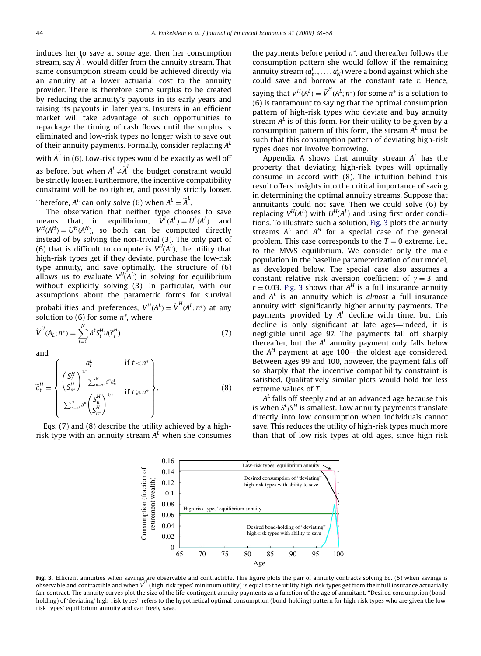<span id="page-6-0"></span>induces her to save at some age, then her consumption stream, say  $\widetilde{A}^L$ , would differ from the annuity stream. That same consumption stream could be achieved directly via an annuity at a lower actuarial cost to the annuity provider. There is therefore some surplus to be created by reducing the annuity's payouts in its early years and raising its payouts in later years. Insurers in an efficient market will take advantage of such opportunities to repackage the timing of cash flows until the surplus is eliminated and low-risk types no longer wish to save out of their annuity payments. Formally, consider replacing  $A<sup>L</sup>$ with  $\widetilde{\bm{A}}^L$  in (6). Low-risk types would be exactly as well off as before, but when  $A^L \neq \widetilde{A}^L$  the budget constraint would be strictly looser. Furthermore, the incentive compatibility constraint will be no tighter, and possibly strictly looser. Therefore,  $A^L$  can only solve (6) when  $A^L = \widetilde{A}^L$ .

The observation that neither type chooses to save means that, in equilibrium,  $V^L(A^L) = U^L(A^L)$  and  $V^H(A^H) = U^H(A^H)$ , so both can be computed directly instead of by solving the non-trivial (3). The only part of (6) that is difficult to compute is  $V^H(A^L)$ , the utility that high-risk types get if they deviate, purchase the low-risk type annuity, and save optimally. The structure of (6) allows us to evaluate  $V^H(A^L)$  in solving for equilibrium without explicitly solving (3). In particular, with our assumptions about the parametric forms for survival probabilities and preferences,  $V^H(A^L) = \widetilde{V}^H(A^L; n^*)$  at any solution to  $(6)$  for some  $n^*$ , where

$$
\widetilde{V}^H(A_L; n^*) = \sum_{t=0}^N \delta^t S_t^H u(\widetilde{c}_t^H)
$$
\n(7)

and

$$
\widetilde{c}_{t}^{H} = \begin{cases}\n a_{t}^{L} & \text{if } t < n^{*} \\
 \frac{\left(S_{t}^{H}\right)^{1/\gamma}}{S_{n}^{H}} \sum_{n=n^{*}}^{N} \delta^{n} a_{n}^{L} \\
 \sum_{n=n^{*}}^{N} \delta^{n} \left(\frac{S_{n}^{H}}{S_{n}^{H}}\right)^{1/\gamma} & \text{if } t \geq n^{*} \\
 \end{cases}
$$
\n
$$
(8)
$$

Eqs. (7) and (8) describe the utility achieved by a highrisk type with an annuity stream  $A<sup>L</sup>$  when she consumes

the payments before period  $n^*$ , and thereafter follows the consumption pattern she would follow if the remaining annuity stream  $(a_n^L, \ldots, a_N^L)$  were a bond against which she could save and borrow at the constant rate r. Hence, saying that  $V^H(A^L) = \widetilde{V}^H(A^L; n^*)$  for some  $n^*$  is a solution to (6) is tantamount to saying that the optimal consumption pattern of high-risk types who deviate and buy annuity stream  $A<sup>L</sup>$  is of this form. For their utility to be given by a consumption pattern of this form, the stream  $A<sup>L</sup>$  must be such that this consumption pattern of deviating high-risk types does not involve borrowing.

Appendix A shows that annuity stream  $A<sup>L</sup>$  has the property that deviating high-risk types will optimally consume in accord with (8). The intuition behind this result offers insights into the critical importance of saving in determining the optimal annuity streams. Suppose that annuitants could not save. Then we could solve (6) by replacing  $V^H(A^L)$  with  $U^H(A^L)$  and using first order conditions. To illustrate such a solution, Fig. 3 plots the annuity streams  $A<sup>L</sup>$  and  $A<sup>H</sup>$  for a special case of the general problem. This case corresponds to the  $\overline{T} = 0$  extreme, i.e., to the MWS equilibrium. We consider only the male population in the baseline parameterization of our model, as developed below. The special case also assumes a constant relative risk aversion coefficient of  $\gamma = 3$  and  $r = 0.03$ . Fig. 3 shows that  $A<sup>H</sup>$  is a full insurance annuity and  $A<sup>L</sup>$  is an annuity which is almost a full insurance annuity with significantly higher annuity payments. The payments provided by  $A<sup>L</sup>$  decline with time, but this decline is only significant at late ages—indeed, it is negligible until age 97. The payments fall off sharply thereafter, but the  $A<sup>L</sup>$  annuity payment only falls below the  $A<sup>H</sup>$  payment at age 100—the oldest age considered. Between ages 99 and 100, however, the payment falls off so sharply that the incentive compatibility constraint is satisfied. Qualitatively similar plots would hold for less extreme values of  $\overline{T}$ .

 $A<sup>L</sup>$  falls off steeply and at an advanced age because this is when  $S^L/S^H$  is smallest. Low annuity payments translate directly into low consumption when individuals cannot save. This reduces the utility of high-risk types much more than that of low-risk types at old ages, since high-risk



**Fig. 3.** Efficient annuities when savings are observable and contractible. This figure plots the pair of annuity contracts solving Eq. (5) when savings is<br>observable and contractible and when  $\overline{V}^H$  (high-risk types' fair contract. The annuity curves plot the size of the life-contingent annuity payments as a function of the age of annuitant. ''Desired consumption (bondholding) of 'deviating' high-risk types'' refers to the hypothetical optimal consumption (bond-holding) pattern for high-risk types who are given the lowrisk types' equilibrium annuity and can freely save.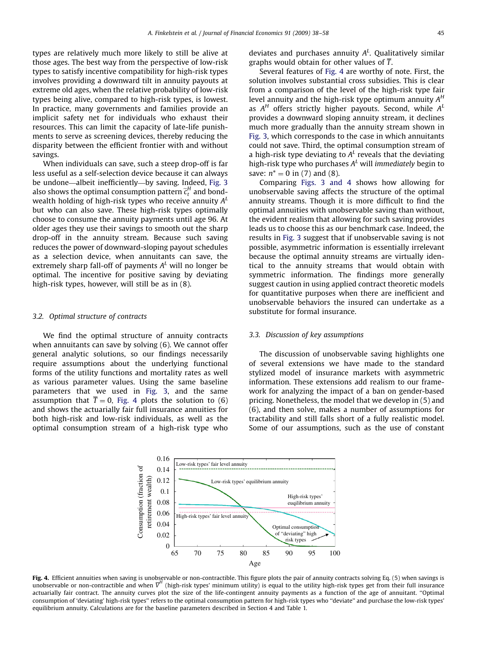types are relatively much more likely to still be alive at those ages. The best way from the perspective of low-risk types to satisfy incentive compatibility for high-risk types involves providing a downward tilt in annuity payouts at extreme old ages, when the relative probability of low-risk types being alive, compared to high-risk types, is lowest. In practice, many governments and families provide an implicit safety net for individuals who exhaust their resources. This can limit the capacity of late-life punishments to serve as screening devices, thereby reducing the disparity between the efficient frontier with and without savings.

When individuals can save, such a steep drop-off is far less useful as a self-selection device because it can always be undone—albeit inefficiently—by saving. Indeed, [Fig. 3](#page-6-0) also shows the optimal consumption pattern  $\widetilde{c}_{t}^{H}$  and bondwealth holding of high-risk types who receive annuity  $A<sup>L</sup>$ but who can also save. These high-risk types optimally choose to consume the annuity payments until age 96. At older ages they use their savings to smooth out the sharp drop-off in the annuity stream. Because such saving reduces the power of downward-sloping payout schedules as a selection device, when annuitants can save, the extremely sharp fall-off of payments  $A<sup>L</sup>$  will no longer be optimal. The incentive for positive saving by deviating high-risk types, however, will still be as in (8).

#### 3.2. Optimal structure of contracts

We find the optimal structure of annuity contracts when annuitants can save by solving (6). We cannot offer general analytic solutions, so our findings necessarily require assumptions about the underlying functional forms of the utility functions and mortality rates as well as various parameter values. Using the same baseline parameters that we used in [Fig. 3,](#page-6-0) and the same assumption that  $\overline{T} = 0$ , Fig. 4 plots the solution to (6) and shows the actuarially fair full insurance annuities for both high-risk and low-risk individuals, as well as the optimal consumption stream of a high-risk type who

deviates and purchases annuity  $A<sup>L</sup>$ . Qualitatively similar graphs would obtain for other values of  $\overline{T}$ .

Several features of Fig. 4 are worthy of note. First, the solution involves substantial cross subsidies. This is clear from a comparison of the level of the high-risk type fair level annuity and the high-risk type optimum annuity  $A<sup>H</sup>$ as  $A^H$  offers strictly higher payouts. Second, while  $A^L$ provides a downward sloping annuity stream, it declines much more gradually than the annuity stream shown in [Fig. 3,](#page-6-0) which corresponds to the case in which annuitants could not save. Third, the optimal consumption stream of a high-risk type deviating to  $A<sup>L</sup>$  reveals that the deviating high-risk type who purchases  $A<sup>L</sup>$  will *immediately* begin to save:  $n^* = 0$  in (7) and (8).

Comparing [Figs. 3 and 4](#page-6-0) shows how allowing for unobservable saving affects the structure of the optimal annuity streams. Though it is more difficult to find the optimal annuities with unobservable saving than without, the evident realism that allowing for such saving provides leads us to choose this as our benchmark case. Indeed, the results in [Fig. 3](#page-6-0) suggest that if unobservable saving is not possible, asymmetric information is essentially irrelevant because the optimal annuity streams are virtually identical to the annuity streams that would obtain with symmetric information. The findings more generally suggest caution in using applied contract theoretic models for quantitative purposes when there are inefficient and unobservable behaviors the insured can undertake as a substitute for formal insurance.

### 3.3. Discussion of key assumptions

The discussion of unobservable saving highlights one of several extensions we have made to the standard stylized model of insurance markets with asymmetric information. These extensions add realism to our framework for analyzing the impact of a ban on gender-based pricing. Nonetheless, the model that we develop in (5) and (6), and then solve, makes a number of assumptions for tractability and still falls short of a fully realistic model. Some of our assumptions, such as the use of constant



Fig. 4. Efficient annuities when saving is unobservable or non-contractible. This figure plots the pair of annuity contracts solving Eq. (5) when savings is unobservable or non-contractible and when  $\overline{v}^H$  (high-risk types' minimum utility) is equal to the utility high-risk types get from their full insurance actuarially fair contract. The annuity curves plot the size of the life-contingent annuity payments as a function of the age of annuitant. ''Optimal consumption of 'deviating' high-risk types'' refers to the optimal consumption pattern for high-risk types who ''deviate'' and purchase the low-risk types' equilibrium annuity. Calculations are for the baseline parameters described in Section 4 and [Table 1.](#page-9-0)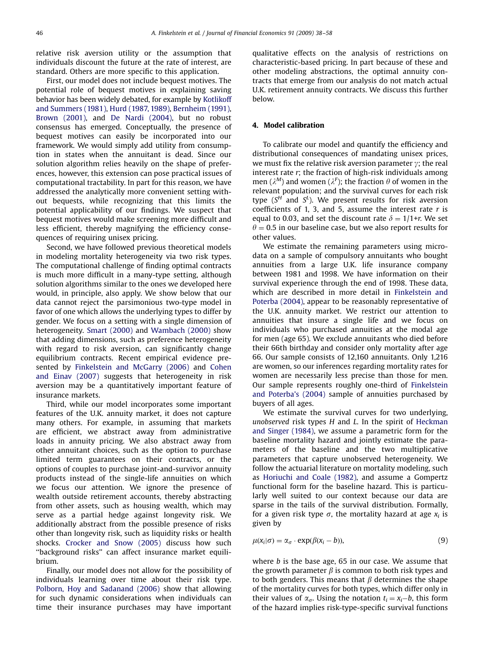relative risk aversion utility or the assumption that individuals discount the future at the rate of interest, are standard. Others are more specific to this application.

First, our model does not include bequest motives. The potential role of bequest motives in explaining saving behavior has been widely debated, for example by [Kotlikoff](#page-20-0) [and Summers \(1981\)](#page-20-0), [Hurd \(1987, 1989\)](#page-20-0), [Bernheim \(1991\)](#page-20-0), [Brown \(2001\)](#page-20-0), and [De Nardi \(2004\),](#page-20-0) but no robust consensus has emerged. Conceptually, the presence of bequest motives can easily be incorporated into our framework. We would simply add utility from consumption in states when the annuitant is dead. Since our solution algorithm relies heavily on the shape of preferences, however, this extension can pose practical issues of computational tractability. In part for this reason, we have addressed the analytically more convenient setting without bequests, while recognizing that this limits the potential applicability of our findings. We suspect that bequest motives would make screening more difficult and less efficient, thereby magnifying the efficiency consequences of requiring unisex pricing.

Second, we have followed previous theoretical models in modeling mortality heterogeneity via two risk types. The computational challenge of finding optimal contracts is much more difficult in a many-type setting, although solution algorithms similar to the ones we developed here would, in principle, also apply. We show below that our data cannot reject the parsimonious two-type model in favor of one which allows the underlying types to differ by gender. We focus on a setting with a single dimension of heterogeneity. [Smart \(2000\)](#page-20-0) and [Wambach \(2000\)](#page-20-0) show that adding dimensions, such as preference heterogeneity with regard to risk aversion, can significantly change equilibrium contracts. Recent empirical evidence presented by [Finkelstein and McGarry \(2006\)](#page-20-0) and [Cohen](#page-20-0) [and Einav \(2007\)](#page-20-0) suggests that heterogeneity in risk aversion may be a quantitatively important feature of insurance markets.

Third, while our model incorporates some important features of the U.K. annuity market, it does not capture many others. For example, in assuming that markets are efficient, we abstract away from administrative loads in annuity pricing. We also abstract away from other annuitant choices, such as the option to purchase limited term guarantees on their contracts, or the options of couples to purchase joint-and-survivor annuity products instead of the single-life annuities on which we focus our attention. We ignore the presence of wealth outside retirement accounts, thereby abstracting from other assets, such as housing wealth, which may serve as a partial hedge against longevity risk. We additionally abstract from the possible presence of risks other than longevity risk, such as liquidity risks or health shocks. [Crocker and Snow \(2005\)](#page-20-0) discuss how such ''background risks'' can affect insurance market equilibrium.

Finally, our model does not allow for the possibility of individuals learning over time about their risk type. [Polborn, Hoy and Sadanand \(2006\)](#page-20-0) show that allowing for such dynamic considerations when individuals can time their insurance purchases may have important

qualitative effects on the analysis of restrictions on characteristic-based pricing. In part because of these and other modeling abstractions, the optimal annuity contracts that emerge from our analysis do not match actual U.K. retirement annuity contracts. We discuss this further below.

## 4. Model calibration

To calibrate our model and quantify the efficiency and distributional consequences of mandating unisex prices, we must fix the relative risk aversion parameter  $y$ ; the real interest rate r; the fraction of high-risk individuals among men ( $\lambda^M$ ) and women ( $\lambda^F$ ); the fraction  $\theta$  of women in the relevant population; and the survival curves for each risk type ( $S^H$  and  $S^L$ ). We present results for risk aversion coefficients of 1, 3, and 5, assume the interest rate  $r$  is equal to 0.03, and set the discount rate  $\delta = 1/1+r$ . We set  $\theta = 0.5$  in our baseline case, but we also report results for other values.

We estimate the remaining parameters using microdata on a sample of compulsory annuitants who bought annuities from a large U.K. life insurance company between 1981 and 1998. We have information on their survival experience through the end of 1998. These data, which are described in more detail in [Finkelstein and](#page-20-0) [Poterba \(2004\)](#page-20-0), appear to be reasonably representative of the U.K. annuity market. We restrict our attention to annuities that insure a single life and we focus on individuals who purchased annuities at the modal age for men (age 65). We exclude annuitants who died before their 66th birthday and consider only mortality after age 66. Our sample consists of 12,160 annuitants. Only 1,216 are women, so our inferences regarding mortality rates for women are necessarily less precise than those for men. Our sample represents roughly one-third of [Finkelstein](#page-20-0) [and Poterba's \(2004\)](#page-20-0) sample of annuities purchased by buyers of all ages.

We estimate the survival curves for two underlying, unobserved risk types H and L. In the spirit of [Heckman](#page-20-0) [and Singer \(1984\)](#page-20-0), we assume a parametric form for the baseline mortality hazard and jointly estimate the parameters of the baseline and the two multiplicative parameters that capture unobserved heterogeneity. We follow the actuarial literature on mortality modeling, such as [Horiuchi and Coale \(1982\)](#page-20-0), and assume a Gompertz functional form for the baseline hazard. This is particularly well suited to our context because our data are sparse in the tails of the survival distribution. Formally, for a given risk type  $\sigma$ , the mortality hazard at age  $x_i$  is given by

$$
\mu(x_i|\sigma) = \alpha_{\sigma} \cdot \exp(\beta(x_i - b)),\tag{9}
$$

where *b* is the base age, 65 in our case. We assume that the growth parameter  $\beta$  is common to both risk types and to both genders. This means that  $\beta$  determines the shape of the mortality curves for both types, which differ only in their values of  $\alpha_{\sigma}$ . Using the notation  $t_i = x_i - b$ , this form of the hazard implies risk-type-specific survival functions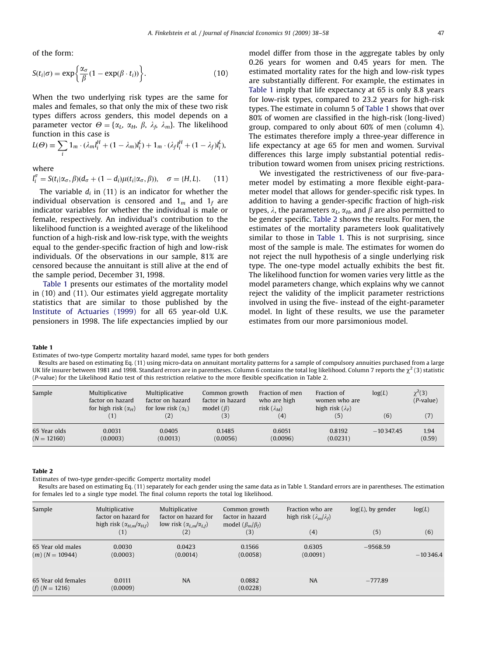<span id="page-9-0"></span>of the form:

$$
S(t_i|\sigma) = \exp\left\{\frac{\alpha_{\sigma}}{\beta}(1 - \exp(\beta \cdot t_i))\right\}.
$$
 (10)

When the two underlying risk types are the same for males and females, so that only the mix of these two risk types differs across genders, this model depends on a parameter vector  $\Theta = {\alpha_L, \alpha_H, \beta, \lambda_f, \lambda_m}$ . The likelihood function in this case is

$$
L(\Theta) \equiv \sum_i 1_m \cdot (\lambda_m l_i^H + (1 - \lambda_m) l_i^L) + 1_m \cdot (\lambda_f l_i^H + (1 - \lambda_f) l_i^L),
$$

where

$$
l_i^{\sigma} = S(t_i | \alpha_{\sigma}, \beta)(d_{\sigma} + (1 - d_i)\mu(t_i | \alpha_{\sigma}, \beta)), \quad \sigma = \{H, L\}.
$$
 (11)

The variable  $d_i$  in (11) is an indicator for whether the individual observation is censored and  $1<sub>m</sub>$  and  $1<sub>f</sub>$  are indicator variables for whether the individual is male or female, respectively. An individual's contribution to the likelihood function is a weighted average of the likelihood function of a high-risk and low-risk type, with the weights equal to the gender-specific fraction of high and low-risk individuals. Of the observations in our sample, 81% are censored because the annuitant is still alive at the end of the sample period, December 31, 1998.

Table 1 presents our estimates of the mortality model in (10) and (11). Our estimates yield aggregate mortality statistics that are similar to those published by the [Institute of Actuaries \(1999\)](#page-20-0) for all 65 year-old U.K. pensioners in 1998. The life expectancies implied by our model differ from those in the aggregate tables by only 0.26 years for women and 0.45 years for men. The estimated mortality rates for the high and low-risk types are substantially different. For example, the estimates in Table 1 imply that life expectancy at 65 is only 8.8 years for low-risk types, compared to 23.2 years for high-risk types. The estimate in column 5 of Table 1 shows that over 80% of women are classified in the high-risk (long-lived) group, compared to only about 60% of men (column 4). The estimates therefore imply a three-year difference in life expectancy at age 65 for men and women. Survival differences this large imply substantial potential redistribution toward women from unisex pricing restrictions.

We investigated the restrictiveness of our five-parameter model by estimating a more flexible eight-parameter model that allows for gender-specific risk types. In addition to having a gender-specific fraction of high-risk types,  $\lambda$ , the parameters  $\alpha_L$ ,  $\alpha_H$ , and  $\beta$  are also permitted to be gender specific. Table 2 shows the results. For men, the estimates of the mortality parameters look qualitatively similar to those in Table 1. This is not surprising, since most of the sample is male. The estimates for women do not reject the null hypothesis of a single underlying risk type. The one-type model actually exhibits the best fit. The likelihood function for women varies very little as the model parameters change, which explains why we cannot reject the validity of the implicit parameter restrictions involved in using the five- instead of the eight-parameter model. In light of these results, we use the parameter estimates from our more parsimonious model.

#### Table 1

Estimates of two-type Gompertz mortality hazard model, same types for both genders

Results are based on estimating Eq. (11) using micro-data on annuitant mortality patterns for a sample of compulsory annuities purchased from a large UK life insurer between 1981 and 1998. Standard errors are in parentheses. Column 6 contains the total log likelihood. Column 7 reports the  $\chi^2$  (3) statistic (P-value) for the Likelihood Ratio test of this restriction relative to the more flexible specification in Table 2.

| Sample                        | Multiplicative<br>factor on hazard<br>for high risk $(\alpha_H)$ | Multiplicative<br>factor on hazard<br>for low risk $(\alpha_I)$ | Common growth<br>factor in hazard<br>model $(\beta)$ | Fraction of men<br>who are high<br>risk $(\lambda_M)$ | Fraction of<br>women who are<br>high risk $(\lambda_F)$ | log(L)      | $\chi^2(3)$<br>$(P-value)$ |
|-------------------------------|------------------------------------------------------------------|-----------------------------------------------------------------|------------------------------------------------------|-------------------------------------------------------|---------------------------------------------------------|-------------|----------------------------|
|                               | (1)                                                              | (2)                                                             | (3)                                                  | (4)                                                   | (5)                                                     | (6)         | (7)                        |
| 65 Year olds<br>$(N = 12160)$ | 0.0031<br>(0.0003)                                               | 0.0405<br>(0.0013)                                              | 0.1485<br>(0.0056)                                   | 0.6051<br>(0.0096)                                    | 0.8192<br>(0.0231)                                      | $-10347.45$ | 1.94<br>(0.59)             |

#### Table 2

Estimates of two-type gender-specific Gompertz mortality model

Results are based on estimating Eq. (11) separately for each gender using the same data as in Table 1. Standard errors are in parentheses. The estimation for females led to a single type model. The final column reports the total log likelihood.

| Sample                                  | Multiplicative<br>factor on hazard for<br>high risk $(\alpha_{H,m}/\alpha_{H,f})$<br>(1) | Multiplicative<br>factor on hazard for<br>low risk $(\alpha_{L,m}/\alpha_{L,f})$<br>(2) | Common growth<br>factor in hazard<br>model $(\beta_m/\beta_f)$<br>(3) | Fraction who are<br>high risk $(\lambda_m/\lambda_f)$<br>(4) | $log(L)$ , by gender<br>(5) | log(L)<br>(6) |
|-----------------------------------------|------------------------------------------------------------------------------------------|-----------------------------------------------------------------------------------------|-----------------------------------------------------------------------|--------------------------------------------------------------|-----------------------------|---------------|
| 65 Year old males<br>$(m)$ (N = 10944)  | 0.0030<br>(0.0003)                                                                       | 0.0423<br>(0.0014)                                                                      | 0.1566<br>(0.0058)                                                    | 0.6305<br>(0.0091)                                           | $-9568.59$                  | $-10346.4$    |
| 65 Year old females<br>$(f)$ (N = 1216) | 0.0111<br>(0.0009)                                                                       | <b>NA</b>                                                                               | 0.0882<br>(0.0228)                                                    | <b>NA</b>                                                    | $-777.89$                   |               |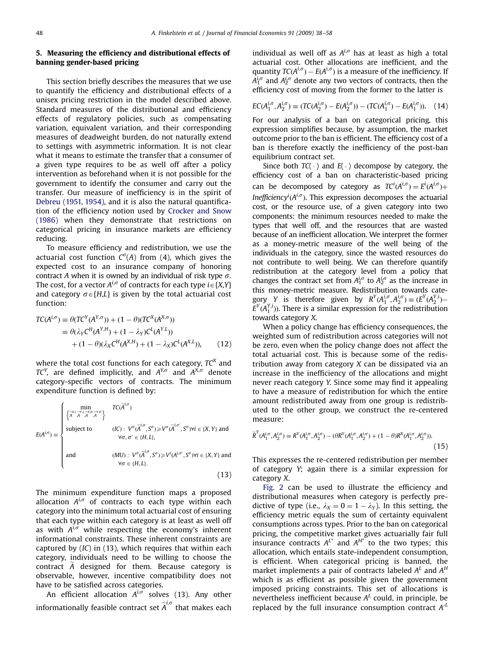# 5. Measuring the efficiency and distributional effects of banning gender-based pricing

This section briefly describes the measures that we use to quantify the efficiency and distributional effects of a unisex pricing restriction in the model described above. Standard measures of the distributional and efficiency effects of regulatory policies, such as compensating variation, equivalent variation, and their corresponding measures of deadweight burden, do not naturally extend to settings with asymmetric information. It is not clear what it means to estimate the transfer that a consumer of a given type requires to be as well off after a policy intervention as beforehand when it is not possible for the government to identify the consumer and carry out the transfer. Our measure of inefficiency is in the spirit of [Debreu \(1951, 1954\),](#page-20-0) and it is also the natural quantification of the efficiency notion used by [Crocker and Snow](#page-20-0) [\(1986\)](#page-20-0) when they demonstrate that restrictions on categorical pricing in insurance markets are efficiency reducing.

To measure efficiency and redistribution, we use the actuarial cost function  $C^{\sigma}(A)$  from (4), which gives the expected cost to an insurance company of honoring contract A when it is owned by an individual of risk type  $\sigma$ . The cost, for a vector  $A^{i,\sigma}$  of contracts for each type  $i \in \{X,Y\}$ and category  $\sigma \in \{H,L\}$  is given by the total actuarial cost function:

$$
TC(A^{i,\sigma}) \equiv \theta(TC^{Y}(A^{Y,\sigma})) + (1 - \theta)(TC^{X}(A^{X,\sigma}))
$$
  
\n
$$
\equiv \theta(\lambda_{Y}C^{H}(A^{Y,H}) + (1 - \lambda_{Y})C^{L}(A^{Y,L}))
$$
  
\n
$$
+ (1 - \theta)(\lambda_{X}C^{H}(A^{X,H}) + (1 - \lambda_{X})C^{L}(A^{X,L})), \qquad (12)
$$

where the total cost functions for each category,  $TC^{X}$  and TC<sup>Y</sup>, are defined implicitly, and  $A^{Y,\sigma}$  and  $A^{X,\sigma}$  denote category-specific vectors of contracts. The minimum expenditure function is defined by:

$$
E(A^{i,\sigma}) = \begin{cases} \min_{\left\{\overline{A}^{X,L} \leq \overline{A}^{X,H} \leq \overline{A}^{X,H}\right\}} & TC(\overline{A}^{i,\sigma}) \\ \text{subject to} & (IC): V^{\sigma}(\overline{A}^{i,\sigma}, S^{\sigma}) \geq V^{\sigma}(\overline{A}^{i,\sigma'}, S^{\sigma}) \forall i \in \{X, Y\} \text{ and } \\ & \forall \sigma, \sigma' \in \{H, L\}, \\ \text{and} & (MU): V^{\sigma}(\overline{A}^{i,\sigma}, S^{\sigma}) \geq V^i(A^{i,\sigma'}, S^{\sigma}) \forall i \in \{X, Y\} \text{ and } \\ & \forall \sigma \in \{H, L\}. \end{cases}
$$
(13)

The minimum expenditure function maps a proposed allocation  $A^{i,\sigma}$  of contracts to each type within each category into the minimum total actuarial cost of ensuring that each type within each category is at least as well off as with  $A^{i,\sigma}$  while respecting the economy's inherent informational constraints. These inherent constraints are captured by  $(IC)$  in  $(13)$ , which requires that within each category, individuals need to be willing to choose the contract A designed for them. Because category is observable, however, incentive compatibility does not have to be satisfied across categories.

An efficient allocation  $A^{i,\sigma}$  solves (13). Any other informationally feasible contract set  $\widetilde{A}^{i,\sigma}$  that makes each

individual as well off as  $A^{i,\sigma}$  has at least as high a total actuarial cost. Other allocations are inefficient, and the quantity  $TC(A^{i,\sigma}) - E(A^{i,\sigma})$  is a measure of the inefficiency. If  $A_1^{i,\sigma}$  and  $A_2^{i,\sigma}$  denote any two vectors of contracts, then the efficiency cost of moving from the former to the latter is

$$
EC(A_1^{i,\sigma}, A_2^{i,\sigma}) \equiv (TC(A_2^{i,\sigma}) - E(A_2^{i,\sigma})) - (TC(A_1^{i,\sigma}) - E(A_1^{i,\sigma})). \quad (14)
$$

For our analysis of a ban on categorical pricing, this expression simplifies because, by assumption, the market outcome prior to the ban is efficient. The efficiency cost of a ban is therefore exactly the inefficiency of the post-ban equilibrium contract set.

Since both  $TC(\cdot)$  and  $E(\cdot)$  decompose by category, the efficiency cost of a ban on characteristic-based pricing can be decomposed by category as  $TC^i(A^{i,\sigma}) = E^i(A^{i,\sigma}) +$ Inefficiency<sup>i</sup>( $A^{i,\sigma}$ ). This expression decomposes the actuarial cost, or the resource use, of a given category into two components: the minimum resources needed to make the types that well off, and the resources that are wasted because of an inefficient allocation. We interpret the former as a money-metric measure of the well being of the individuals in the category, since the wasted resources do not contribute to well being. We can therefore quantify redistribution at the category level from a policy that changes the contract set from  $A_1^{i\sigma}$  to  $A_2^{i\sigma}$  as the increase in this money-metric measure. Redistribution towards category Y is therefore given by  $R^Y(A_1^{i,\sigma}, A_2^{i,\sigma}) \equiv (E^Y(A_2^{Y,i}) E^{Y}(A_1^{Y,i})$ ). There is a similar expression for the redistribution towards category X.

When a policy change has efficiency consequences, the weighted sum of redistribution across categories will not be zero, even when the policy change does not affect the total actuarial cost. This is because some of the redistribution away from category X can be dissipated via an increase in the inefficiency of the allocations and might never reach category Y. Since some may find it appealing to have a measure of redistribution for which the entire amount redistributed away from one group is redistributed to the other group, we construct the re-centered measure:

$$
\widetilde{R}^{Y}(A_1^{i,\sigma}, A_2^{i,\sigma}) \equiv R^{Y}(A_1^{i,\sigma}, A_2^{i,\sigma}) - (\theta R^{Y}(A_1^{i,\sigma}, A_2^{i,\sigma}) + (1 - \theta)R^{X}(A_1^{i,\sigma}, A_2^{i,\sigma})).
$$
\n(15)

This expresses the re-centered redistribution per member of category Y; again there is a similar expression for category X.

[Fig. 2](#page-3-0) can be used to illustrate the efficiency and distributional measures when category is perfectly predictive of type (i.e.,  $\lambda_X = 0 = 1 - \lambda_Y$ ). In this setting, the efficiency metric equals the sum of certainty equivalent consumptions across types. Prior to the ban on categorical pricing, the competitive market gives actuarially fair full insurance contracts  $A^{L^*}$  and  $A^{H^*}$  to the two types; this allocation, which entails state-independent consumption, is efficient. When categorical pricing is banned, the market implements a pair of contracts labeled  $A<sup>L</sup>$  and  $A<sup>H</sup>$ which is as efficient as possible given the government imposed pricing constraints. This set of allocations is nevertheless inefficient because  $A<sup>L</sup>$  could, in principle, be replaced by the full insurance consumption contract  $A<sup>L</sup>$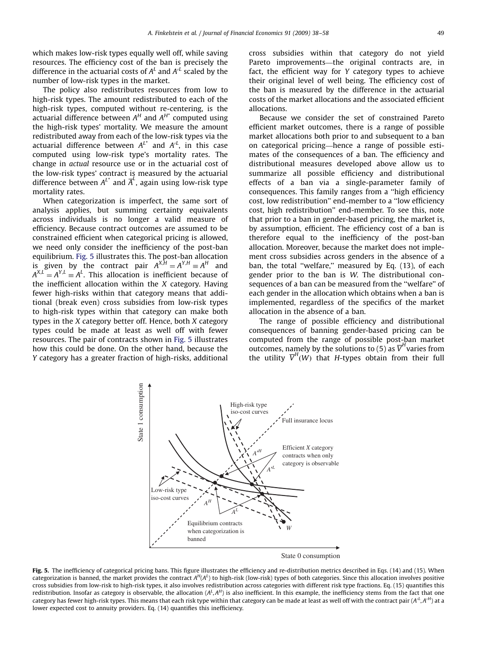which makes low-risk types equally well off, while saving resources. The efficiency cost of the ban is precisely the difference in the actuarial costs of  $A<sup>L</sup>$  and  $A<sup>L</sup>$  scaled by the number of low-risk types in the market.

The policy also redistributes resources from low to high-risk types. The amount redistributed to each of the high-risk types, computed without re-centering, is the actuarial difference between  $A^H$  and  $A^{H^*}$  computed using the high-risk types' mortality. We measure the amount redistributed away from each of the low-risk types via the actuarial difference between  $A^{L^*}$  and  $A^{\prime L}$ , in this case computed using low-risk type's mortality rates. The change in actual resource use or in the actuarial cost of the low-risk types' contract is measured by the actuarial difference between  $A^{L^*}$  and  $\overline{A}^L$ , again using low-risk type mortality rates.

When categorization is imperfect, the same sort of analysis applies, but summing certainty equivalents across individuals is no longer a valid measure of efficiency. Because contract outcomes are assumed to be constrained efficient when categorical pricing is allowed, we need only consider the inefficiency of the post-ban equilibrium. Fig. 5 illustrates this. The post-ban allocation is given by the contract pair  $A^{X,H} = A^{Y,H} = A^H$  and  $A^{X,L} = A^{Y,L} \equiv A^L$ . This allocation is inefficient because of the inefficient allocation within the  $X$  category. Having fewer high-risks within that category means that additional (break even) cross subsidies from low-risk types to high-risk types within that category can make both types in the X category better off. Hence, both X category types could be made at least as well off with fewer resources. The pair of contracts shown in Fig. 5 illustrates how this could be done. On the other hand, because the Y category has a greater fraction of high-risks, additional cross subsidies within that category do not yield Pareto improvements—the original contracts are, in fact, the efficient way for Y category types to achieve their original level of well being. The efficiency cost of the ban is measured by the difference in the actuarial costs of the market allocations and the associated efficient allocations.

Because we consider the set of constrained Pareto efficient market outcomes, there is a range of possible market allocations both prior to and subsequent to a ban on categorical pricing—hence a range of possible estimates of the consequences of a ban. The efficiency and distributional measures developed above allow us to summarize all possible efficiency and distributional effects of a ban via a single-parameter family of consequences. This family ranges from a ''high efficiency cost, low redistribution'' end-member to a ''low efficiency cost, high redistribution'' end-member. To see this, note that prior to a ban in gender-based pricing, the market is, by assumption, efficient. The efficiency cost of a ban is therefore equal to the inefficiency of the post-ban allocation. Moreover, because the market does not implement cross subsidies across genders in the absence of a ban, the total "welfare," measured by Eq. (13), of each gender prior to the ban is W. The distributional consequences of a ban can be measured from the ''welfare'' of each gender in the allocation which obtains when a ban is implemented, regardless of the specifics of the market allocation in the absence of a ban.

The range of possible efficiency and distributional consequences of banning gender-based pricing can be computed from the range of possible post-ban market outcomes, namely by the solutions to (5) as  $\overline{V}^H$  varies from the utility  $\overline{V}^H(W)$  that H-types obtain from their full

State 0 consumption

Fig. 5. The inefficiency of categorical pricing bans. This figure illustrates the efficiency and re-distribution metrics described in Eqs. (14) and (15). When categorization is banned, the market provides the contract  $A^H(A^L)$  to high-risk (low-risk) types of both categories. Since this allocation involves positive cross subsidies from low-risk to high-risk types, it also involves redistribution across categories with different risk type fractions. Eq. (15) quantifies this redistribution. Insofar as category is observable, the allocation  $(A^L, A^H)$  is also inefficient. In this example, the inefficiency stems from the fact that one category has fewer high-risk types. This means that each risk type within that category can be made at least as well off with the contract pair  $(A^{\prime L}, A^{\prime H})$  at a lower expected cost to annuity providers. Eq. (14) quantifies this inefficiency.

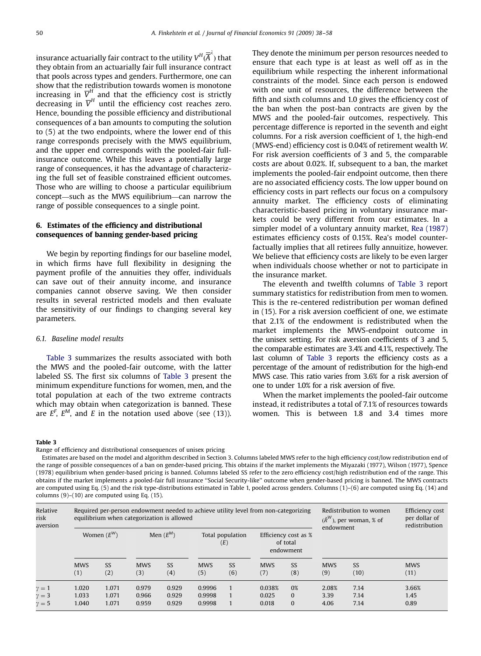<span id="page-12-0"></span>insurance actuarially fair contract to the utility  $V^H(\overline{\overline{A}}^{\lambda})$  that they obtain from an actuarially fair full insurance contract that pools across types and genders. Furthermore, one can show that the redistribution towards women is monotone increasing in  $\overline{V}_{\dots}^H$  and that the efficiency cost is strictly decreasing in  $\overline{V}^H$  until the efficiency cost reaches zero. Hence, bounding the possible efficiency and distributional consequences of a ban amounts to computing the solution to (5) at the two endpoints, where the lower end of this range corresponds precisely with the MWS equilibrium, and the upper end corresponds with the pooled-fair fullinsurance outcome. While this leaves a potentially large range of consequences, it has the advantage of characterizing the full set of feasible constrained efficient outcomes. Those who are willing to choose a particular equilibrium concept—such as the MWS equilibrium—can narrow the range of possible consequences to a single point.

# 6. Estimates of the efficiency and distributional consequences of banning gender-based pricing

We begin by reporting findings for our baseline model, in which firms have full flexibility in designing the payment profile of the annuities they offer, individuals can save out of their annuity income, and insurance companies cannot observe saving. We then consider results in several restricted models and then evaluate the sensitivity of our findings to changing several key parameters.

# 6.1. Baseline model results

Table 3 summarizes the results associated with both the MWS and the pooled-fair outcome, with the latter labeled SS. The first six columns of Table 3 present the minimum expenditure functions for women, men, and the total population at each of the two extreme contracts which may obtain when categorization is banned. These are  $E^F$ ,  $E^M$ , and E in the notation used above (see (13)).

They denote the minimum per person resources needed to ensure that each type is at least as well off as in the equilibrium while respecting the inherent informational constraints of the model. Since each person is endowed with one unit of resources, the difference between the fifth and sixth columns and 1.0 gives the efficiency cost of the ban when the post-ban contracts are given by the MWS and the pooled-fair outcomes, respectively. This percentage difference is reported in the seventh and eight columns. For a risk aversion coefficient of 1, the high-end (MWS-end) efficiency cost is 0.04% of retirement wealth W. For risk aversion coefficients of 3 and 5, the comparable costs are about 0.02%. If, subsequent to a ban, the market implements the pooled-fair endpoint outcome, then there are no associated efficiency costs. The low upper bound on efficiency costs in part reflects our focus on a compulsory annuity market. The efficiency costs of eliminating characteristic-based pricing in voluntary insurance markets could be very different from our estimates. In a simpler model of a voluntary annuity market, [Rea \(1987\)](#page-20-0) estimates efficiency costs of 0.15%. Rea's model counterfactually implies that all retirees fully annuitize, however. We believe that efficiency costs are likely to be even larger when individuals choose whether or not to participate in the insurance market.

The eleventh and twelfth columns of Table 3 report summary statistics for redistribution from men to women. This is the re-centered redistribution per woman defined in (15). For a risk aversion coefficient of one, we estimate that 2.1% of the endowment is redistributed when the market implements the MWS-endpoint outcome in the unisex setting. For risk aversion coefficients of 3 and 5, the comparable estimates are 3.4% and 4.1%, respectively. The last column of Table 3 reports the efficiency costs as a percentage of the amount of redistribution for the high-end MWS case. This ratio varies from 3.6% for a risk aversion of one to under 1.0% for a risk aversion of five.

When the market implements the pooled-fair outcome instead, it redistributes a total of 7.1% of resources towards women. This is between 1.8 and 3.4 times more

## Table 3

Range of efficiency and distributional consequences of unisex pricing

Estimates are based on the model and algorithm described in Section 3. Columns labeled MWS refer to the high efficiency cost/low redistribution end of the range of possible consequences of a ban on gender-based pricing. This obtains if the market implements the [Miyazaki \(1977\)](#page-20-0), [Wilson \(1977\)](#page-20-0), [Spence](#page-20-0) [\(1978\)](#page-20-0) equilibrium when gender-based pricing is banned. Columns labeled SS refer to the zero efficiency cost/high redistribution end of the range. This obtains if the market implements a pooled-fair full insurance ''Social Security-like'' outcome when gender-based pricing is banned. The MWS contracts are computed using Eq. (5) and the risk type-distributions estimated in [Table 1,](#page-9-0) pooled across genders. Columns (1)–(6) are computed using Eq. (14) and columns (9)–(10) are computed using Eq. (15).

| Relative<br>risk<br>aversion         | Required per-person endowment needed to achieve utility level from non-categorizing<br>equilibrium when categorization is allowed |                         |                         |                         |                            |           |                                               | Redistribution to women<br>$(\tilde{R}^{W})$ , per woman, % of<br>endowment |                       | Efficiency cost<br>per dollar of<br>redistribution |                       |
|--------------------------------------|-----------------------------------------------------------------------------------------------------------------------------------|-------------------------|-------------------------|-------------------------|----------------------------|-----------|-----------------------------------------------|-----------------------------------------------------------------------------|-----------------------|----------------------------------------------------|-----------------------|
|                                      | Women $(E^W)$                                                                                                                     |                         | Men $(E^M)$             |                         | Total population<br>(E)    |           | Efficiency cost as %<br>of total<br>endowment |                                                                             |                       |                                                    |                       |
|                                      | <b>MWS</b><br>(1)                                                                                                                 | SS<br>(2)               | <b>MWS</b><br>(3)       | SS<br>(4)               | <b>MWS</b><br>(5)          | SS<br>(6) | <b>MWS</b><br>(7)                             | <b>SS</b><br>(8)                                                            | <b>MWS</b><br>(9)     | SS<br>(10)                                         | <b>MWS</b><br>(11)    |
| $\gamma=1$<br>$\nu = 3$<br>$\nu = 5$ | 1.020<br>1.033<br>1.040                                                                                                           | 1.071<br>1.071<br>1.071 | 0.979<br>0.966<br>0.959 | 0.929<br>0.929<br>0.929 | 0.9996<br>0.9998<br>0.9998 |           | 0.038%<br>0.025<br>0.018                      | 0%<br>$\Omega$<br>$\mathbf{0}$                                              | 2.08%<br>3.39<br>4.06 | 7.14<br>7.14<br>7.14                               | 3.66%<br>1.45<br>0.89 |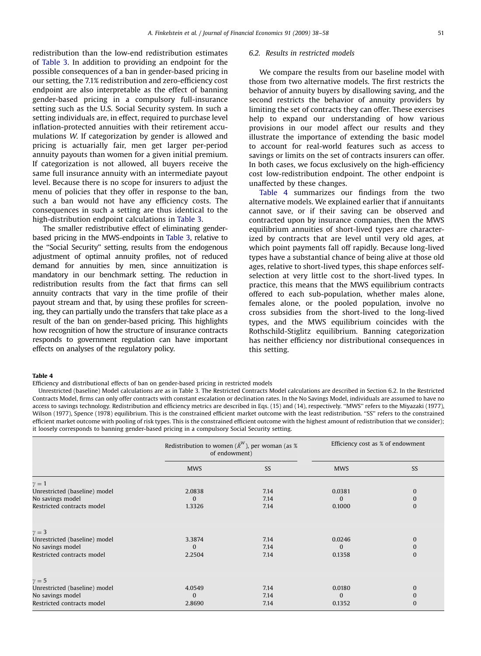<span id="page-13-0"></span>redistribution than the low-end redistribution estimates of [Table 3](#page-12-0). In addition to providing an endpoint for the possible consequences of a ban in gender-based pricing in our setting, the 7.1% redistribution and zero-efficiency cost endpoint are also interpretable as the effect of banning gender-based pricing in a compulsory full-insurance setting such as the U.S. Social Security system. In such a setting individuals are, in effect, required to purchase level inflation-protected annuities with their retirement accumulations W. If categorization by gender is allowed and pricing is actuarially fair, men get larger per-period annuity payouts than women for a given initial premium. If categorization is not allowed, all buyers receive the same full insurance annuity with an intermediate payout level. Because there is no scope for insurers to adjust the menu of policies that they offer in response to the ban, such a ban would not have any efficiency costs. The consequences in such a setting are thus identical to the high-distribution endpoint calculations in [Table 3](#page-12-0).

The smaller redistributive effect of eliminating genderbased pricing in the MWS-endpoints in [Table 3](#page-12-0), relative to the ''Social Security'' setting, results from the endogenous adjustment of optimal annuity profiles, not of reduced demand for annuities by men, since annuitization is mandatory in our benchmark setting. The reduction in redistribution results from the fact that firms can sell annuity contracts that vary in the time profile of their payout stream and that, by using these profiles for screening, they can partially undo the transfers that take place as a result of the ban on gender-based pricing. This highlights how recognition of how the structure of insurance contracts responds to government regulation can have important effects on analyses of the regulatory policy.

## 6.2. Results in restricted models

We compare the results from our baseline model with those from two alternative models. The first restricts the behavior of annuity buyers by disallowing saving, and the second restricts the behavior of annuity providers by limiting the set of contracts they can offer. These exercises help to expand our understanding of how various provisions in our model affect our results and they illustrate the importance of extending the basic model to account for real-world features such as access to savings or limits on the set of contracts insurers can offer. In both cases, we focus exclusively on the high-efficiency cost low-redistribution endpoint. The other endpoint is unaffected by these changes.

Table 4 summarizes our findings from the two alternative models. We explained earlier that if annuitants cannot save, or if their saving can be observed and contracted upon by insurance companies, then the MWS equilibrium annuities of short-lived types are characterized by contracts that are level until very old ages, at which point payments fall off rapidly. Because long-lived types have a substantial chance of being alive at those old ages, relative to short-lived types, this shape enforces selfselection at very little cost to the short-lived types. In practice, this means that the MWS equilibrium contracts offered to each sub-population, whether males alone, females alone, or the pooled population, involve no cross subsidies from the short-lived to the long-lived types, and the MWS equilibrium coincides with the Rothschild-Stiglitz equilibrium. Banning categorization has neither efficiency nor distributional consequences in this setting.

#### Table 4

Efficiency and distributional effects of ban on gender-based pricing in restricted models

Unrestricted (baseline) Model calculations are as in [Table 3.](#page-12-0) The Restricted Contracts Model calculations are described in Section 6.2. In the Restricted Contracts Model, firms can only offer contracts with constant escalation or declination rates. In the No Savings Model, individuals are assumed to have no access to savings technology. Redistribution and efficiency metrics are described in Eqs. (15) and (14), respectively. ''MWS'' refers to the [Miyazaki \(1977\),](#page-20-0) [Wilson \(1977\)](#page-20-0), [Spence \(1978\)](#page-20-0) equilibrium. This is the constrained efficient market outcome with the least redistribution. "SS" refers to the constrained efficient market outcome with pooling of risk types. This is the constrained efficient outcome with the highest amount of redistribution that we consider); it loosely corresponds to banning gender-based pricing in a compulsory Social Security setting.

|                                                                                                 | Redistribution to women $(\tilde{R}^{W})$ , per woman (as %<br>of endowment) |                      | Efficiency cost as % of endowment |                                  |  |
|-------------------------------------------------------------------------------------------------|------------------------------------------------------------------------------|----------------------|-----------------------------------|----------------------------------|--|
|                                                                                                 | <b>MWS</b>                                                                   | SS                   | <b>MWS</b>                        | SS                               |  |
| $\gamma=1$<br>Unrestricted (baseline) model<br>No savings model<br>Restricted contracts model   | 2.0838<br>$\Omega$<br>1.3326                                                 | 7.14<br>7.14<br>7.14 | 0.0381<br>$\Omega$<br>0.1000      | $\mathbf{0}$<br>0<br>0           |  |
| $\gamma = 3$<br>Unrestricted (baseline) model<br>No savings model<br>Restricted contracts model | 3.3874<br>$\Omega$<br>2.2504                                                 | 7.14<br>7.14<br>7.14 | 0.0246<br>$\Omega$<br>0.1358      | $\Omega$<br>$\bf{0}$<br>$\bf{0}$ |  |
| $\gamma = 5$<br>Unrestricted (baseline) model<br>No savings model<br>Restricted contracts model | 4.0549<br>$\Omega$<br>2.8690                                                 | 7.14<br>7.14<br>7.14 | 0.0180<br>$\Omega$<br>0.1352      | $\bf{0}$<br>0<br>$\bf{0}$        |  |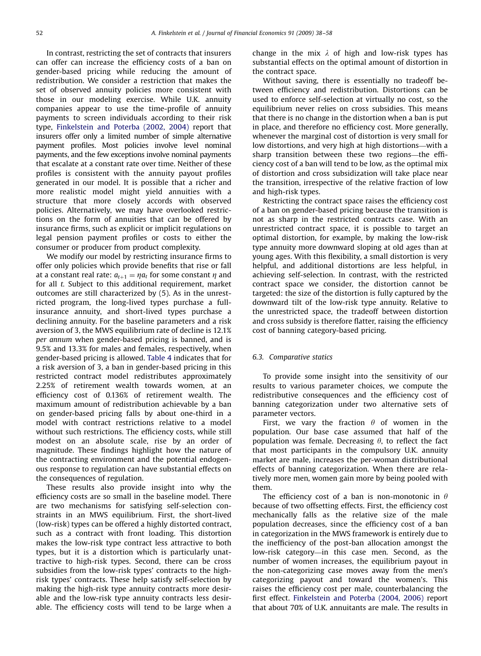In contrast, restricting the set of contracts that insurers can offer can increase the efficiency costs of a ban on gender-based pricing while reducing the amount of redistribution. We consider a restriction that makes the set of observed annuity policies more consistent with those in our modeling exercise. While U.K. annuity companies appear to use the time-profile of annuity payments to screen individuals according to their risk type, [Finkelstein and Poterba \(2002, 2004\)](#page-20-0) report that insurers offer only a limited number of simple alternative payment profiles. Most policies involve level nominal payments, and the few exceptions involve nominal payments that escalate at a constant rate over time. Neither of these profiles is consistent with the annuity payout profiles generated in our model. It is possible that a richer and more realistic model might yield annuities with a structure that more closely accords with observed policies. Alternatively, we may have overlooked restrictions on the form of annuities that can be offered by insurance firms, such as explicit or implicit regulations on legal pension payment profiles or costs to either the consumer or producer from product complexity.

We modify our model by restricting insurance firms to offer only policies which provide benefits that rise or fall at a constant real rate:  $a_{t+1} = \eta a_t$  for some constant  $\eta$  and for all t. Subject to this additional requirement, market outcomes are still characterized by (5). As in the unrestricted program, the long-lived types purchase a fullinsurance annuity, and short-lived types purchase a declining annuity. For the baseline parameters and a risk aversion of 3, the MWS equilibrium rate of decline is 12.1% per annum when gender-based pricing is banned, and is 9.5% and 13.3% for males and females, respectively, when gender-based pricing is allowed. [Table 4](#page-13-0) indicates that for a risk aversion of 3, a ban in gender-based pricing in this restricted contract model redistributes approximately 2.25% of retirement wealth towards women, at an efficiency cost of 0.136% of retirement wealth. The maximum amount of redistribution achievable by a ban on gender-based pricing falls by about one-third in a model with contract restrictions relative to a model without such restrictions. The efficiency costs, while still modest on an absolute scale, rise by an order of magnitude. These findings highlight how the nature of the contracting environment and the potential endogenous response to regulation can have substantial effects on the consequences of regulation.

These results also provide insight into why the efficiency costs are so small in the baseline model. There are two mechanisms for satisfying self-selection constraints in an MWS equilibrium. First, the short-lived (low-risk) types can be offered a highly distorted contract, such as a contract with front loading. This distortion makes the low-risk type contract less attractive to both types, but it is a distortion which is particularly unattractive to high-risk types. Second, there can be cross subsidies from the low-risk types' contracts to the highrisk types' contracts. These help satisfy self-selection by making the high-risk type annuity contracts more desirable and the low-risk type annuity contracts less desirable. The efficiency costs will tend to be large when a change in the mix  $\lambda$  of high and low-risk types has substantial effects on the optimal amount of distortion in the contract space.

Without saving, there is essentially no tradeoff between efficiency and redistribution. Distortions can be used to enforce self-selection at virtually no cost, so the equilibrium never relies on cross subsidies. This means that there is no change in the distortion when a ban is put in place, and therefore no efficiency cost. More generally, whenever the marginal cost of distortion is very small for low distortions, and very high at high distortions—with a sharp transition between these two regions—the efficiency cost of a ban will tend to be low, as the optimal mix of distortion and cross subsidization will take place near the transition, irrespective of the relative fraction of low and high-risk types.

Restricting the contract space raises the efficiency cost of a ban on gender-based pricing because the transition is not as sharp in the restricted contracts case. With an unrestricted contract space, it is possible to target an optimal distortion, for example, by making the low-risk type annuity more downward sloping at old ages than at young ages. With this flexibility, a small distortion is very helpful, and additional distortions are less helpful, in achieving self-selection. In contrast, with the restricted contract space we consider, the distortion cannot be targeted: the size of the distortion is fully captured by the downward tilt of the low-risk type annuity. Relative to the unrestricted space, the tradeoff between distortion and cross subsidy is therefore flatter, raising the efficiency cost of banning category-based pricing.

## 6.3. Comparative statics

To provide some insight into the sensitivity of our results to various parameter choices, we compute the redistributive consequences and the efficiency cost of banning categorization under two alternative sets of parameter vectors.

First, we vary the fraction  $\theta$  of women in the population. Our base case assumed that half of the population was female. Decreasing  $\theta$ , to reflect the fact that most participants in the compulsory U.K. annuity market are male, increases the per-woman distributional effects of banning categorization. When there are relatively more men, women gain more by being pooled with them.

The efficiency cost of a ban is non-monotonic in  $\theta$ because of two offsetting effects. First, the efficiency cost mechanically falls as the relative size of the male population decreases, since the efficiency cost of a ban in categorization in the MWS framework is entirely due to the inefficiency of the post-ban allocation amongst the low-risk category—in this case men. Second, as the number of women increases, the equilibrium payout in the non-categorizing case moves away from the men's categorizing payout and toward the women's. This raises the efficiency cost per male, counterbalancing the first effect. [Finkelstein and Poterba \(2004, 2006\)](#page-20-0) report that about 70% of U.K. annuitants are male. The results in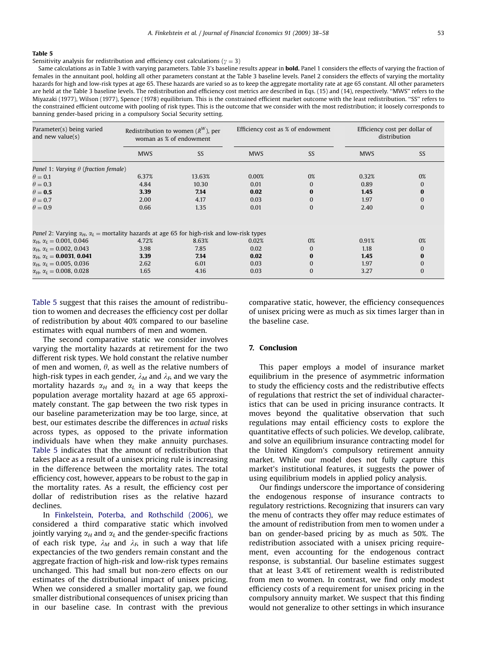#### Table 5

#### Sensitivity analysis for redistribution and efficiency cost calculations ( $\gamma = 3$ )

Same calculations as in [Table 3](#page-12-0) with varying parameters. Table 3's baseline results appear in **bold.** Panel 1 considers the effects of varying the fraction of females in the annuitant pool, holding all other parameters constant at the [Table 3](#page-12-0) baseline levels. Panel 2 considers the effects of varying the mortality hazards for high and low-risk types at age 65. These hazards are varied so as to keep the aggregate mortality rate at age 65 constant. All other parameters are held at the [Table 3](#page-12-0) baseline levels. The redistribution and efficiency cost metrics are described in Eqs. (15) and (14), respectively. ''MWS'' refers to the [Miyazaki \(1977\)](#page-20-0), [Wilson \(1977\)](#page-20-0), [Spence \(1978\)](#page-20-0) equilibrium. This is the constrained efficient market outcome with the least redistribution. ''SS'' refers to the constrained efficient outcome with pooling of risk types. This is the outcome that we consider with the most redistribution; it loosely corresponds to banning gender-based pricing in a compulsory Social Security setting.

| Parameter(s) being varied<br>and new value $(s)$                                                        | Redistribution to women $(\tilde{R}^{W})$ , per<br>woman as % of endowment |        | Efficiency cost as % of endowment |                | Efficiency cost per dollar of<br>distribution |              |
|---------------------------------------------------------------------------------------------------------|----------------------------------------------------------------------------|--------|-----------------------------------|----------------|-----------------------------------------------|--------------|
|                                                                                                         | <b>MWS</b>                                                                 | SS     | <b>MWS</b>                        | <b>SS</b>      | <b>MWS</b>                                    | SS           |
| Panel 1: Varying $\theta$ (fraction female)                                                             |                                                                            |        |                                   |                |                                               |              |
| $\theta = 0.1$                                                                                          | 6.37%                                                                      | 13.63% | 0.00%                             | 0 <sup>2</sup> | 0.32%                                         | 0%           |
| $\theta = 0.3$                                                                                          | 4.84                                                                       | 10.30  | 0.01                              | $\Omega$       | 0.89                                          | $\mathbf{0}$ |
| $\theta = 0.5$                                                                                          | 3.39                                                                       | 7.14   | 0.02                              | $\bf{0}$       | 1.45                                          | $\bf{0}$     |
| $\theta = 0.7$                                                                                          | 2.00                                                                       | 4.17   | 0.03                              | $\Omega$       | 1.97                                          | $\mathbf{0}$ |
| $\theta = 0.9$                                                                                          | 0.66                                                                       | 1.35   | 0.01                              | $\Omega$       | 2.40                                          | $\mathbf{0}$ |
| Panel 2: Varying $\alpha_H$ , $\alpha_L$ = mortality hazards at age 65 for high-risk and low-risk types |                                                                            |        |                                   |                |                                               |              |
| $\alpha_H$ , $\alpha_L = 0.001$ , 0.046                                                                 | 4.72%                                                                      | 8.63%  | 0.02%                             | 0 <sup>2</sup> | 0.91%                                         | 0%           |
| $\alpha_{H}$ , $\alpha_{L} = 0.002$ , 0.043                                                             | 3.98                                                                       | 7.85   | 0.02                              | $\mathbf{0}$   | 1.18                                          | $\mathbf{0}$ |
| $\alpha_H$ , $\alpha_L = 0.0031$ , 0.041                                                                | 3.39                                                                       | 7.14   | 0.02                              | $\bf{0}$       | 1.45                                          | $\bf{0}$     |
| $\alpha_H$ , $\alpha_L = 0.005$ , 0.036                                                                 | 2.62                                                                       | 6.01   | 0.03                              | $\mathbf{0}$   | 1.97                                          | $\mathbf{0}$ |
| $\alpha_{H}$ , $\alpha_{L} = 0.008$ , 0.028                                                             | 1.65                                                                       | 4.16   | 0.03                              | $\mathbf{0}$   | 3.27                                          | $\mathbf{0}$ |

Table 5 suggest that this raises the amount of redistribution to women and decreases the efficiency cost per dollar of redistribution by about 40% compared to our baseline estimates with equal numbers of men and women.

The second comparative static we consider involves varying the mortality hazards at retirement for the two different risk types. We hold constant the relative number of men and women,  $\theta$ , as well as the relative numbers of high-risk types in each gender,  $\lambda_M$  and  $\lambda_F$ , and we vary the mortality hazards  $\alpha_H$  and  $\alpha_L$  in a way that keeps the population average mortality hazard at age 65 approximately constant. The gap between the two risk types in our baseline parameterization may be too large, since, at best, our estimates describe the differences in actual risks across types, as opposed to the private information individuals have when they make annuity purchases. Table 5 indicates that the amount of redistribution that takes place as a result of a unisex pricing rule is increasing in the difference between the mortality rates. The total efficiency cost, however, appears to be robust to the gap in the mortality rates. As a result, the efficiency cost per dollar of redistribution rises as the relative hazard declines.

In [Finkelstein, Poterba, and Rothschild \(2006\)](#page-20-0), we considered a third comparative static which involved jointly varying  $\alpha_H$  and  $\alpha_L$  and the gender-specific fractions of each risk type,  $\lambda_M$  and  $\lambda_F$  in such a way that life expectancies of the two genders remain constant and the aggregate fraction of high-risk and low-risk types remains unchanged. This had small but non-zero effects on our estimates of the distributional impact of unisex pricing. When we considered a smaller mortality gap, we found smaller distributional consequences of unisex pricing than in our baseline case. In contrast with the previous comparative static, however, the efficiency consequences of unisex pricing were as much as six times larger than in the baseline case.

## 7. Conclusion

This paper employs a model of insurance market equilibrium in the presence of asymmetric information to study the efficiency costs and the redistributive effects of regulations that restrict the set of individual characteristics that can be used in pricing insurance contracts. It moves beyond the qualitative observation that such regulations may entail efficiency costs to explore the quantitative effects of such policies. We develop, calibrate, and solve an equilibrium insurance contracting model for the United Kingdom's compulsory retirement annuity market. While our model does not fully capture this market's institutional features, it suggests the power of using equilibrium models in applied policy analysis.

Our findings underscore the importance of considering the endogenous response of insurance contracts to regulatory restrictions. Recognizing that insurers can vary the menu of contracts they offer may reduce estimates of the amount of redistribution from men to women under a ban on gender-based pricing by as much as 50%. The redistribution associated with a unisex pricing requirement, even accounting for the endogenous contract response, is substantial. Our baseline estimates suggest that at least 3.4% of retirement wealth is redistributed from men to women. In contrast, we find only modest efficiency costs of a requirement for unisex pricing in the compulsory annuity market. We suspect that this finding would not generalize to other settings in which insurance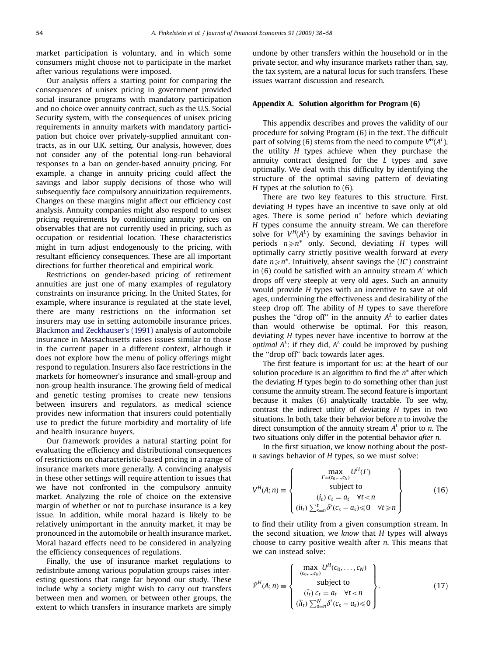market participation is voluntary, and in which some consumers might choose not to participate in the market after various regulations were imposed.

Our analysis offers a starting point for comparing the consequences of unisex pricing in government provided social insurance programs with mandatory participation and no choice over annuity contract, such as the U.S. Social Security system, with the consequences of unisex pricing requirements in annuity markets with mandatory participation but choice over privately-supplied annuitant contracts, as in our U.K. setting. Our analysis, however, does not consider any of the potential long-run behavioral responses to a ban on gender-based annuity pricing. For example, a change in annuity pricing could affect the savings and labor supply decisions of those who will subsequently face compulsory annuitization requirements. Changes on these margins might affect our efficiency cost analysis. Annuity companies might also respond to unisex pricing requirements by conditioning annuity prices on observables that are not currently used in pricing, such as occupation or residential location. These characteristics might in turn adjust endogenously to the pricing, with resultant efficiency consequences. These are all important directions for further theoretical and empirical work.

Restrictions on gender-based pricing of retirement annuities are just one of many examples of regulatory constraints on insurance pricing. In the United States, for example, where insurance is regulated at the state level, there are many restrictions on the information set insurers may use in setting automobile insurance prices. [Blackmon and Zeckhauser's \(1991\)](#page-20-0) analysis of automobile insurance in Massachusetts raises issues similar to those in the current paper in a different context, although it does not explore how the menu of policy offerings might respond to regulation. Insurers also face restrictions in the markets for homeowner's insurance and small-group and non-group health insurance. The growing field of medical and genetic testing promises to create new tensions between insurers and regulators, as medical science provides new information that insurers could potentially use to predict the future morbidity and mortality of life and health insurance buyers.

Our framework provides a natural starting point for evaluating the efficiency and distributional consequences of restrictions on characteristic-based pricing in a range of insurance markets more generally. A convincing analysis in these other settings will require attention to issues that we have not confronted in the compulsory annuity market. Analyzing the role of choice on the extensive margin of whether or not to purchase insurance is a key issue. In addition, while moral hazard is likely to be relatively unimportant in the annuity market, it may be pronounced in the automobile or health insurance market. Moral hazard effects need to be considered in analyzing the efficiency consequences of regulations.

Finally, the use of insurance market regulations to redistribute among various population groups raises interesting questions that range far beyond our study. These include why a society might wish to carry out transfers between men and women, or between other groups, the extent to which transfers in insurance markets are simply

undone by other transfers within the household or in the private sector, and why insurance markets rather than, say, the tax system, are a natural locus for such transfers. These issues warrant discussion and research.

## Appendix A. Solution algorithm for Program (6)

This appendix describes and proves the validity of our procedure for solving Program (6) in the text. The difficult part of solving (6) stems from the need to compute  $V^H(A^L)$ , the utility  $H$  types achieve when they purchase the annuity contract designed for the L types and save optimally. We deal with this difficulty by identifying the structure of the optimal saving pattern of deviating  $H$  types at the solution to  $(6)$ .

There are two key features to this structure. First, deviating H types have an incentive to save only at old ages. There is some period  $n^*$  before which deviating H types consume the annuity stream. We can therefore solve for  $V^H(A^L)$  by examining the savings behavior in periods  $n \ge n^*$  only. Second, deviating H types will optimally carry strictly positive wealth forward at every date  $n \ge n^*$ . Intuitively, absent savings the (IC) constraint in (6) could be satisfied with an annuity stream  $A<sup>L</sup>$  which drops off very steeply at very old ages. Such an annuity would provide H types with an incentive to save at old ages, undermining the effectiveness and desirability of the steep drop off. The ability of H types to save therefore pushes the "drop off" in the annuity  $A<sup>L</sup>$  to earlier dates than would otherwise be optimal. For this reason, deviating H types never have incentive to borrow at the optimal  $A^L$ : if they did,  $A^L$  could be improved by pushing the ''drop off'' back towards later ages.

The first feature is important for us: at the heart of our solution procedure is an algorithm to find the  $n^*$  after which the deviating H types begin to do something other than just consume the annuity stream. The second feature is important because it makes (6) analytically tractable. To see why, contrast the indirect utility of deviating H types in two situations. In both, take their behavior before  $n$  to involve the direct consumption of the annuity stream  $A<sup>L</sup>$  prior to n. The two situations only differ in the potential behavior after n.

In the first situation, we know nothing about the postn savings behavior of H types, so we must solve:

$$
V^{H}(A; n) \equiv \begin{Bmatrix} \max_{\Gamma \equiv (c_0, \ldots, c_N)} U^{H}(\Gamma) \\ \text{subject to} \\ (i_{t}) \ c_{t} = a_{t} \quad \forall t < n \\ (ii_{t}) \ \sum_{s=n}^{t} \delta^{s} (c_{s} - a_{s}) \leq 0 \quad \forall t \geq n \end{Bmatrix}
$$
 (16)

to find their utility from a given consumption stream. In the second situation, we know that H types will always choose to carry positive wealth after  $n$ . This means that we can instead solve:

$$
\tilde{\nu}^H(A; n) \equiv \begin{cases}\n\max_{(c_0, \ldots, c_N)} U^H(c_0, \ldots, c_N) \\
\text{subject to} \\
\text{(it) } c_t = a_t \quad \forall t < n \\
(\tilde{a}_t) \sum_{s=n}^N \delta^s(c_s - a_s) \leq 0\n\end{cases}
$$
\n(17)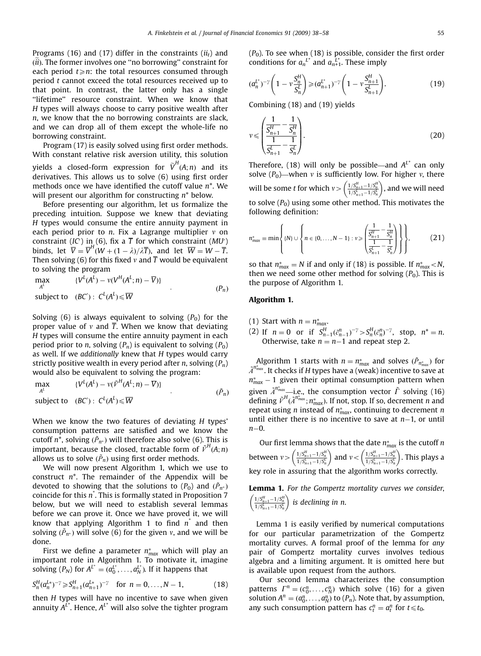Programs (16) and (17) differ in the constraints  $(ii<sub>t</sub>)$  and (ii). The former involves one "no borrowing" constraint for each period  $t \ge n$ : the total resources consumed through period t cannot exceed the total resources received up to that point. In contrast, the latter only has a single "lifetime" resource constraint. When we know that H types will always choose to carry positive wealth after n, we know that the no borrowing constraints are slack, and we can drop all of them except the whole-life no borrowing constraint.

Program (17) is easily solved using first order methods. With constant relative risk aversion utility, this solution yields a closed-form expression for  ${\widetilde V}^H(A;n)$  and its derivatives. This allows us to solve (6) using first order methods once we have identified the cutoff value  $n^*$ . We will present our algorithm for constructing  $n^*$  below.

Before presenting our algorithm, let us formalize the preceding intuition. Suppose we knew that deviating H types would consume the entire annuity payment in each period prior to  $n$ . Fix a Lagrange multiplier  $v$  on constraint (IC') in (6), fix a  $\overline{T}$  for which constraint (MU') binds, let  $\overline{V} = \overline{V}^H (W + (1 - \lambda) / \lambda \overline{T})$ , and let  $\overline{W} = W - \overline{T}$ . Then solving (6) for this fixed v and  $\overline{T}$  would be equivalent to solving the program

$$
\max_{A^L} \{V^L(A^L) - v(V^H(A^L; n) - \overline{V})\}
$$
\nsubject to  $(BC')$ :  $C^L(A^L) \leq \overline{W}$  (P<sub>n</sub>)

Solving (6) is always equivalent to solving  $(P_0)$  for the proper value of v and  $\overline{T}$ . When we know that deviating H types will consume the entire annuity payment in each period prior to *n*, solving  $(P_n)$  is equivalent to solving  $(P_0)$ as well. If we additionally knew that H types would carry strictly positive wealth in every period after *n*, solving  $(P_n)$ would also be equivalent to solving the program:

$$
\max_{A^L} \{V^L(A^L) - v(\tilde{V}^H(A^L; n) - \overline{V})\}
$$
\n
$$
\dots \qquad (P_n)
$$

subject to  $(BC') : C^L(A^L) \le \overline{W}$ 

When we know the two features of deviating H types' consumption patterns are satisfied and we know the cutoff  $n^*$ , solving  $(\tilde{P}_{n^*})$  will therefore also solve (6). This is important, because the closed, tractable form of  $\tilde{V}^H(A; n)$ allows us to solve  $(\tilde{P}_n)$  using first order methods.

We will now present Algorithm 1, which we use to construct  $n^*$ . The remainder of the Appendix will be devoted to showing that the solutions to  $(P_0)$  and  $(\tilde{P}_{n^*})$ coincide for this  $n^*$ . This is formally stated in Proposition 7 below, but we will need to establish several lemmas before we can prove it. Once we have proved it, we will know that applying Algorithm 1 to find  $n^*$  and then solving  $(\tilde{P}_{n^*})$  will solve (6) for the given v, and we will be done.

First we define a parameter  $n_{max}^*$  which will play an important role in Algorithm 1. To motivate it, imagine solving  $(P_N)$  for  $A^{L^*} = (a_0^{L^*}, \ldots, a_N^{L^*})$ . If it happens that

$$
S_n^H (a_n^{L*})^{-\gamma} \geq S_{n+1}^H (a_{n+1}^{L*})^{-\gamma} \quad \text{for } n = 0, \dots, N-1,
$$
 (18)

then H types will have no incentive to save when given annuity  $A^{\tilde{L}^*}$ . Hence,  $A^{L^*}$  will also solve the tighter program

 $(P_0)$ . To see when (18) is possible, consider the first order conditions for  $a_n^{L^*}$  and  $a_{n+1}^{L^*}$ . These imply

$$
(a_n^{L^*})^{-\gamma} \left(1 - \nu \frac{S_n^H}{S_n^L}\right) \geq (a_{n+1}^{L^*})^{-\gamma} \left(1 - \nu \frac{S_{n+1}^H}{S_{n+1}^L}\right). \tag{19}
$$

Combining (18) and (19) yields

$$
v \leqslant \left(\frac{\frac{1}{S_{n+1}^{H}} - \frac{1}{S_n^{H}}}{\frac{1}{S_{n+1}^{L}} - \frac{1}{S_n^{L}}}\right). \tag{20}
$$

Therefore, (18) will only be possible—and  $A^{L^*}$  can only solve  $(P_0)$ —when v is sufficiently low. For higher v, there will be some *t* for which  $v > \left(\frac{1/S_{n+1}^H - 1/S_n^H}{1/S_{n+1}^L - 1/S_n^H}\right)$  $\int$ , and we will need to solve  $(P_0)$  using some other method. This motivates the following definition:

$$
n_{max}^{*} \equiv \min\left\{\{N\} \cup \left\{n \in \{0,\ldots,N-1\} : \nu \geq \left(\frac{\frac{1}{S_{n+1}^{H}} - \frac{1}{S_{n}^{H}}}{\frac{1}{S_{n+1}^{L}} - \frac{1}{S_{n}^{L}}}\right)\right\},\tag{21}
$$

so that  $n_{max}^* = N$  if and only if (18) is possible. If  $n_{max}^* < N$ , then we need some other method for solving  $(P_0)$ . This is the purpose of Algorithm 1.

# Algorithm 1.

- (1) Start with  $n = n_{max}^*$ .
- (2) If  $n = 0$  or if  $S_{n-1}^H(\tilde{c}_{n-1}^n)^{-\gamma} > S_n^H(\tilde{c}_n^n)^{-\gamma}$ , stop,  $n^* = n$ . Otherwise, take  $n = n-1$  and repeat step 2.

Algorithm 1 starts with  $n = n_{max}^*$  and solves  $(\tilde{P}_{n_{max}^*})$  for  $\tilde{A}^{n_{max}^*}$ . It checks if H types have a (weak) incentive to save at  $n_{max}^* - 1$  given their optimal consumption pattern when given  ${\tilde A}^{n_{max}^*}$ —i.e., the consumption vector  $\tilde\Gamma$  solving (16) defining  $\tilde{V}^H(\tilde{A}^{n_{max}^*}; n_{max}^*)$ . If not, stop. If so, decrement *n* and repeat using *n* instead of  $n_{max}^*$ , continuing to decrement *n* until either there is no incentive to save at  $n-1$ , or until n-0.

Our first lemma shows that the date  $n_{max}^*$  is the cutoff  $n$ between  $v > \left(\frac{1/S_{n+1}^H - 1/S_n^H}{1/S_{n+1}^L - 1/S_n^H}\right)$  $\left(\frac{1/S_{n+1}^H - 1/S_n^H}{1/S_{n+1}^L - 1/S_n^H}\right)$  and  $v < \left(\frac{1/S_{n+1}^H - 1/S_n^H}{1/S_{n+1}^L - 1/S_n^H}\right)$  $\sqrt{1 + cH}$   $\sqrt{d}$ . This plays a key role in assuring that the algorithm works correctly.

Lemma 1. For the Gompertz mortality curves we consider,  $\frac{1}{S_{n+1}^L-1/S_n^L}$ <br> $\frac{1}{S_{n+1}^L-1/S_n^L}$  $\sqrt{4 \pi H}$   $4 \pi H$ is declining in n.

Lemma 1 is easily verified by numerical computations for our particular parametrization of the Gompertz mortality curves. A formal proof of the lemma for any pair of Gompertz mortality curves involves tedious algebra and a limiting argument. It is omitted here but is available upon request from the authors.

Our second lemma characterizes the consumption patterns  $\Gamma^n = (c_0^n, \ldots, c_N^n)$  which solve (16) for a given solution  $A^n = (a_0^n, \ldots, a_N^n)$  to  $(P_n)$ . Note that, by assumption, any such consumption pattern has  $c_t^n = a_t^n$  for  $t \leq t_0$ .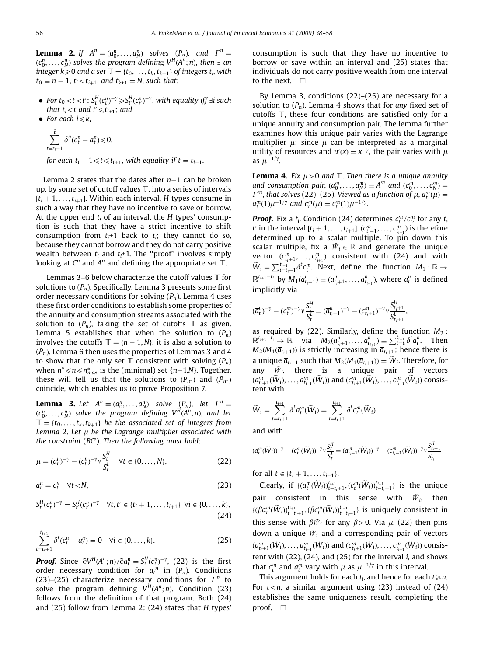**Lemma 2.** If  $A^n = (a_0^n, \ldots, a_N^n)$  solves  $(P_n)$ , and  $\Gamma^n =$  $(c_0^n, \ldots, c_N^n)$  solves the program defining  $V^H(A^n; n)$ , then  $\exists$  an integer  $k\geqslant0$  and a set  $\mathbb{T} = \{t_0, \ldots, t_k, t_{k+1}\}$  of integers  $t_i$ , with  $t_0 \equiv n - 1$ ,  $t_i < t_{i+1}$ , and  $t_{k+1} = N$ , such that:

- For  $t_0 < t < t'$ :  $S_t^H(c_t^n)^{-\gamma} \geq S_{t'}^H(c_{t'}^n)^{-\gamma}$ , with equality iff  $\exists i$  such that  $t_i < t$  and  $t' \leq t_{i+1}$ ; and
- For each  $i \leq k$ ,

$$
\sum_{t=t_i+1}^{\overline{t}} \delta^n (c_t^n - a_t^n) \leq 0,
$$

for each  $t_i + 1 \le \bar{t} \le t_{i+1}$ , with equality if  $\bar{t} = t_{i+1}$ .

Lemma 2 states that the dates after  $n-1$  can be broken up, by some set of cutoff values  $\mathbb T$ , into a series of intervals  $[t_i + 1, \ldots, t_{i+1}]$ . Within each interval, H types consume in such a way that they have no incentive to save or borrow. At the upper end  $t_i$  of an interval, the H types' consumption is such that they have a strict incentive to shift consumption from  $t_i+1$  back to  $t_i$ ; they cannot do so, because they cannot borrow and they do not carry positive wealth between  $t_i$  and  $t_i+1$ . The "proof" involves simply looking at  $C^n$  and  $A^n$  and defining the appropriate set  $\mathbb T$ .

Lemmas 3–6 below characterize the cutoff values  $\mathbb T$  for solutions to  $(P_n)$ . Specifically, Lemma 3 presents some first order necessary conditions for solving  $(P_n)$ . Lemma 4 uses these first order conditions to establish some properties of the annuity and consumption streams associated with the solution to  $(P_n)$ , taking the set of cutoffs  $\mathbb T$  as given. Lemma 5 establishes that when the solution to  $(P_n)$ involves the cutoffs  $\mathbb{T} = \{n - 1, N\}$ , it is also a solution to  $(\tilde{P}_n)$ . Lemma 6 then uses the properties of Lemmas 3 and 4 to show that the only set  $\mathbb T$  consistent with solving  $(P_n)$ when  $n^* \le n \le n_{max}^*$  is the (minimal) set  $\{n-1,N\}$ . Together, these will tell us that the solutions to  $(P_{n^*})$  and  $(\tilde{P}_{n^*})$ coincide, which enables us to prove Proposition 7.

**Lemma 3.** Let  $A^n \equiv (a_0^n, \ldots, a_N^n)$  solve  $(P_n)$ , let  $\Gamma^n =$  $(c_0^n, \ldots, c_N^n)$  solve the program defining  $V^H(A^n, n)$ , and let  $\mathbb{T} = \{t_0, \ldots, t_k, t_{k+1}\}\$  be the associated set of integers from Lemma 2. Let  $\mu$  be the Lagrange multiplier associated with the constraint ( $BC'$ ). Then the following must hold:

$$
\mu = (a_t^n)^{-\gamma} - (c_t^n)^{-\gamma} v \frac{S_t^H}{S_t^L} \quad \forall t \in \{0, \dots, N\},
$$
 (22)

 $a_t^n = c_t^n \quad \forall t < N,$  (23)

$$
S_t^H(c_t^n)^{-\gamma} = S_{t'}^H(c_{t'}^n)^{-\gamma} \quad \forall t, t' \in \{t_i + 1, \dots, t_{i+1}\} \ \forall i \in \{0, \dots, k\},\tag{24}
$$

$$
\sum_{t=t_{i}+1}^{t_{i+1}} \delta^t (c_t^n - a_t^n) = 0 \quad \forall i \in \{0, \dots, k\}.
$$
 (25)

**Proof.** Since  $\partial V^H(A^n; n)/\partial a_t^n = S_t^H(c_t^n)^{-\gamma}$ , (22) is the first order necessary condition for  $a_t^n$  in  $(P_n)$ . Conditions (23)–(25) characterize necessary conditions for  $\Gamma^n$  to solve the program defining  $V^H(A^n; n)$ . Condition (23) follows from the definition of that program. Both (24) and (25) follow from Lemma 2: (24) states that H types'

consumption is such that they have no incentive to borrow or save within an interval and (25) states that individuals do not carry positive wealth from one interval to the next.  $\square$ 

By Lemma 3, conditions (22)–(25) are necessary for a solution to  $(P_n)$ . Lemma 4 shows that for any fixed set of cutoffs T, these four conditions are satisfied only for a unique annuity and consumption pair. The lemma further examines how this unique pair varies with the Lagrange multiplier  $\mu$ : since  $\mu$  can be interpreted as a marginal utility of resources and  $u'(x) = x^{-\gamma}$ , the pair varies with  $\mu$ as  $\mu^{-1/\gamma}$ .

**Lemma 4.** Fix  $\mu > 0$  and T. Then there is a unique annuity and consumption pair,  $(a_0^n, \ldots, a_N^n) \equiv A^m$  and  $(c_0^n, \ldots, c_N^n) =$  $\Gamma^m$ , that solves (22)–(25). Viewed as a function of  $\mu$ ,  $a_t^m(\mu)$  =  $a_t^m(1)\mu^{-1/\gamma}$  and  $c_t^m(\mu) = c_t^m(1)\mu^{-1/\gamma}$ .

**Proof.** Fix a  $t_i$ . Condition (24) determines  $c_t^m/c_t^m$  for any  $t_i$ *t'* in the interval  $[t_i + 1, ..., t_{i+1}]$ .  $(c_{t_{i+1}}^m, ..., c_{t_{i+1}}^m)$  is therefore determined up to a scalar multiple. To pin down this scalar multiple, fix a  $\tilde{W}_i \in \mathbb{R}$  and generate the unique vector  $(c_{t_i+1}^m, \ldots, c_{t_{i+1}}^m)$  consistent with (24) and with  $\widetilde{W}_i = \sum_{t=t_i+1}^{t_{i+1}} \delta^t c_t^m$ . Next, define the function  $M_1 : \mathbb{R} \to$  $\mathbb{R}^{t_{i+1}-t_i}$  by  $M_1(\overline{a}_{t_i+1}^n) \equiv (\overline{a}_{t_i+1}^n, \ldots, \overline{a}_{t_{i+1}}^n)$ , where  $\overline{a}_{t}^n$  is defined implicitly via

$$
(\overline{a}_{t}^{n})^{-\gamma} - (c_{t}^{m})^{-\gamma} \nu \frac{S_{t}^{H}}{S_{t}^{L}} = (\overline{a}_{t_{i}+1}^{n})^{-\gamma} - (c_{t_{i}+1}^{m})^{-\gamma} \nu \frac{S_{t_{i}+1}^{H}}{S_{t_{i}+1}^{L}},
$$

as required by (22). Similarly, define the function  $M_2$ :  $\mathbb{R}^{t_{i+1}-t_i} \to \mathbb{R}$  via  $M_2(\overline{a}_{t_i+1}^n, \ldots, \overline{a}_{t_{i+1}}^n) \equiv \sum_{t=t_i}^{t_{i+1}} \delta^t \overline{a}_t^n$ . Then  $M_2(M_1(\overline{a}_{t_1+1}))$  is strictly increasing in  $\overline{a}_{t_1+1}$ ; hence there is a unique  $\overline{a}_{t_i+1}$  such that  $M_2(M_1(\overline{a}_{t_i+1})) = W_i$ . Therefore, for any  $\tilde{W}_i$ , there is a unique pair of vectors  $(a_{t_i+1}^m(W_i), \ldots, a_{t_{i+1}}^m(\tilde{W}_i))$  and  $(c_{t_i+1}^m(\tilde{W}_i), \ldots, c_{t_{i+1}}^m(\tilde{W}_i))$  consistent with

$$
\widetilde{W}_i = \sum_{t=t_i+1}^{t_{i+1}} \delta^t a_t^m(\widetilde{W}_i) = \sum_{t=t_i+1}^{t_{i+1}} \delta^t c_t^m(\widetilde{W}_i)
$$

and with

$$
(\alpha_t^m(\widetilde{W}_i))^{-\gamma} - (c_t^m(\widetilde{W}_i))^{-\gamma} v\frac{S_t^H}{S_t^L} = (\alpha_{t_i+1}^m(\widetilde{W}_i))^{-\gamma} - (c_{t_i+1}^m(\widetilde{W}_i))^{-\gamma} v\frac{S_{t_i+1}^H}{S_{t_i+1}^L}
$$

for all  $t \in \{t_i + 1, \ldots, t_{i+1}\}.$ 

Clearly, if  $\{(a_t^m(\widetilde{W}_t))_{t=t_i+1}^{t_{i+1}}, (c_t^m(\widetilde{W}_t))_{t=t_i+1}^{t_{i+1}}\}$  is the unique pair consistent in this sense with  $\tilde{W}_i$ , then  $\{\beta a_l^m(\widetilde{W}_i)\}_{t=t_i+1}^{t_{i+1}}, \beta c_l^m(\widetilde{W}_i)\}_{t=t_i+1}^{t_{i+1}}\}$  is uniquely consistent in this sense with  $\beta \tilde{W}_i$  for any  $\beta > 0$ . Via  $\mu$ , (22) then pins down a unique  $\tilde{W}_i$  and a corresponding pair of vectors  $(a_{t_i+1}^m(\tilde{W}_i),\ldots,a_{t_{i+1}}^m(\tilde{W}_i))$  and  $(c_{t_i+1}^m(\tilde{W}_i),\ldots,c_{t_{i+1}}^m(\tilde{W}_i))$  consistent with  $(22)$ ,  $(24)$ , and  $(25)$  for the interval *i*, and shows that  $c_t^m$  and  $a_t^m$  vary with  $\mu$  as  $\mu^{-1/\gamma}$  in this interval.

This argument holds for each  $t_i$ , and hence for each  $t \ge n$ . For  $t < n$ , a similar argument using (23) instead of (24) establishes the same uniqueness result, completing the proof.  $\square$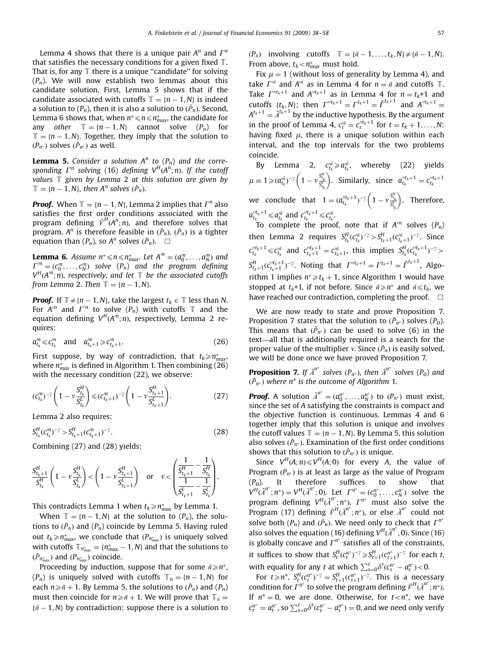Lemma 4 shows that there is a unique pair  $A^n$  and  $\Gamma^n$ that satisfies the necessary conditions for a given fixed  $\mathbb{T}$ . That is, for any  $\mathbb T$  there is a unique "candidate" for solving  $(P_n)$ . We will now establish two lemmas about this candidate solution. First, Lemma 5 shows that if the candidate associated with cutoffs  $\mathbb{T} = \{n - 1, N\}$  is indeed a solution to  $(P_n)$ , then it is also a solution to  $(\tilde{P}_n)$ . Second, Lemma 6 shows that, when  $n^*$   $\leqslant$   $n^*_{max}$ , the candidate for any other  $\mathbb{T} = \{n-1, N\}$  cannot solve  $(P_n)$  for  $\mathbb{T} = \{n-1,N\}$ . Together, they imply that the solution to  $(P_{n*})$  solves  $(\tilde{P}_{n*})$  as well.

**Lemma 5.** Consider a solution  $A^n$  to  $(P_n)$  and the corresponding  $\varGamma^n$  solving (16) defining  $\mathsf{V}^H(\mathsf{A}^n;n)$ . If the cutoff values  $\mathbb T$  given by Lemma 2 at this solution are given by  $\mathbb{T} = \{n-1, N\}$ , then  $A^n$  solves  $(\tilde{P}_n)$ .

**Proof.** When  $\mathbb{T} = \{n-1, N\}$ , Lemma 2 implies that  $\Gamma^n$  also satisfies the first order conditions associated with the program defining  $\tilde{\nu}^H(A^n;n)$ , and therefore solves that program.  $A^n$  is therefore feasible in  $(\tilde{P}_n)$ .  $(\tilde{P}_n)$  is a tighter equation than  $(P_n)$ , so  $A^n$  solves  $(\tilde{P}_n)$ .  $\Box$ 

**Lemma 6.** Assume  $n^* \le n \le n^*_{max}$ . Let  $A^n = (a_0^n, \ldots, a_N^n)$  and  $\Gamma_{\mu}^{m} = (c_0^{m}, \dots, c_N^{m})$  solve  $(P_n)$  and the program defining  $V^H(A^m;n)$ , respectively, and let  $\mathbb T$  be the associated cutoffs from Lemma 2. Then  $\mathbb{T} = \{n-1, N\}.$ 

**Proof.** If  $\mathbb{T} \neq \{n-1,N\}$ , take the largest  $t_k \in \mathbb{T}$  less than N. For  $A''$  and  $\Gamma''$  to solve  $(P_n)$  with cutoffs  $\mathbb T$  and the equation defining  $V^H(A^{\prime n};n)$ , respectively, Lemma 2 requires:

$$
a_{t_k}^m \leq c_{t_k}^m \quad \text{and} \quad a_{t_k+1}^m \geq c_{t_k+1}^m. \tag{26}
$$

First suppose, by way of contradiction, that  $t_k \geqslant n_{max}^*$ , where  $n^*_{max}$  is defined in Algorithm 1. Then combining (26) with the necessary condition (22), we observe:

$$
(c_{t_k}^m)^{-\gamma} \left(1 - \nu \frac{S_{t_k}^H}{S_{t_k}^L}\right) \leq (c_{t_k+1}^m)^{-\gamma} \left(1 - \nu \frac{S_{t_k+1}^H}{S_{t_k+1}^L}\right). \tag{27}
$$

Lemma 2 also requires:

$$
S_{t_k}^H (c_{t_k}^m)^{-\gamma} > S_{t_{k+1}}^H (c_{t_{k+1}}^m)^{-\gamma}.
$$
\n(28)

Combining (27) and (28) yields:

$$
\frac{S_{t_k+1}^H}{S_{t_k}^H}\left(1-\nu \frac{S_{t_k}^H}{S_{t_k}^L}\right)<\left(1-\nu \frac{S_{t_k+1}^H}{S_{t_k+1}^L}\right) \quad \text{or} \quad \nu<\left(\frac{\frac{1}{S_{t_k+1}^H}-\frac{1}{S_{t_k}^H}}{\frac{1}{S_{t_k+1}^H}-\frac{1}{S_{t_k}^L}}\right).
$$

This contradicts Lemma 1 when  $t_k \geqslant n_{max}^*$  by Lemma 1.

When  $\mathbb{T} = \{n-1, N\}$  at the solution to  $(P_n)$ , the solutions to  $(\tilde{P}_n)$  and  $(P_n)$  coincide by Lemma 5. Having ruled out  $t_k \geqslant n_{max}^*$ , we conclude that  $(P_{n_{max}^*})$  is uniquely solved with cutoffs  $\mathbb{T}_{n_{max}^*} = \{n_{max}^* - 1, N\}$  and that the solutions to  $(\tilde{P}_{n_{max}^*})$  and  $(P_{n_{max}^*})$  coincide.

Proceeding by induction, suppose that for some  $n \geq n^*$ ,  $(P_n)$  is uniquely solved with cutoffs  $\mathbb{T}_n = \{n-1, N\}$  for each  $n \geq \tilde{n} + 1$ . By Lemma 5, the solutions to  $(\tilde{P}_n)$  and  $(P_n)$ must then coincide for  $n \geq \tilde{n} + 1$ . We will prove that  $\mathbb{T}_{\tilde{n}} =$  $\{\tilde{n} - 1, N\}$  by contradiction: suppose there is a solution to

 $(P_{\tilde{n}})$  involving cutoffs  $\mathbb{T} = {\tilde{n} - 1, ..., t_k, N} \neq {\tilde{n} - 1, N}.$ From above,  $t_k < n_{max}^*$  must hold.

Fix  $\mu = 1$  (without loss of generality by Lemma 4), and take  $\Gamma^{\prime n}$  and  $A^{\prime n}$  as in Lemma 4 for  $n = \tilde{n}$  and cutoffs  $\mathbb{T}$ . Take  $\Gamma^{n}$ <sup>t<sub>k</sub>+1</sup> and  $A^{n}$ <sup>t<sub>k</sub>+1</sup> as in Lemma 4 for  $n = t_k+1$  and cutoffs  $\{t_k, N\}$ ; then  $\Gamma^{n_k+1} = \Gamma^{t_k+1} = \tilde{\Gamma}^{t_k+1}$  and  $A^{n_t+1} =$  $A^{t_k+1} = \tilde{A}^{t_k+1}$  by the inductive hypothesis. By the argument in the proof of Lemma 4,  $c_t^{n\bar{n}} = c_t^{n}t_k + 1, \ldots, N$ : having fixed  $\mu$ , there is a unique solution within each interval, and the top intervals for the two problems coincide.

By Lemma 2,  $c_{t_k}^{\prime \tilde{n}} \geq a_{t_k}^{\prime \tilde{n}}$ , whereby (22) yields  $\mu\equiv 1\!\geqslant\! (a_{t_k}^{\prime\tilde n})^{-\gamma}\bigg(1-\nu \frac{\mathsf{s}^{\mathsf{H}}_{t_k}}{\mathsf{s}^{\mathsf{H}}_{t_k}}$ k  $\left(1 - v \frac{s_{t_k}^H}{s_{t_k}^L}\right)^k$ . Similarly, since  $a_{t_k}^{m_{t_k}+1} = c_{t_k}^{m_{t_k}+1}$ we conclude that  $1 = (a_{t_k}^{\prime \prime t_k+1})^{-\gamma} \bigg(1 - v \frac{S_{t_k}^H}{S_{t_k}^L}$  $\angle$   $\mathsf{c}^H \setminus$ . Therefore,  $a_{t_k}^{\prime\prime t_k+1} \leqslant a_{t_k}^{\prime\prime \tilde{n}}$  and  $c_{t_k}^{\prime\prime t_k+1} \leqslant c_{t_k}^{\prime\prime \tilde{n}}$ .

To complete the proof, note that if  $A^n$  solves  $(P_n)$ then Lemma 2 requires  $S_{t_k}^H (C_{t_k}^{\prime \tilde{n}})^{-\gamma} > S_{t_k+1}^H (C_{t_k+1}^{\prime \tilde{n}})^{-\gamma}$ . Since  $c_{t_k}^{\prime\prime t_k+1} \leqslant c_{t_k}^{\prime\prime \tilde{n}}$  and  $c_{t_k+1}^{\prime\prime t_k+1} = c_{t_k+1}^{\prime\prime \tilde{n}}$ , this implies  $S_{t_k}^H (c_{t_k}^{\prime\prime t_k+1})^{-\gamma}$  $S_{t_k+1}^H(c_{t_k+1}^{\prime \prime t_k+1})^{-\gamma}$ . Noting that  $\Gamma^{\prime \prime t_k+1} = \Gamma^{t_k+1} = \tilde{\Gamma}^{t_k+1}$ , Algorithm 1 implies  $n^* \ge t_k + 1$ , since Algorithm 1 would have stopped at  $t_k+1$ , if not before. Since  $\tilde{n} \ge n^*$  and  $\tilde{n} \le t_k$ , we have reached our contradiction, completing the proof.  $\Box$ 

We are now ready to state and prove Proposition 7. Proposition 7 states that the solution to  $(\tilde{P}_{n*})$  solves  $(P_0)$ . This means that  $(\tilde{P}_{n*})$  can be used to solve (6) in the text—all that is additionally required is a search for the proper value of the multiplier v. Since  $(\tilde{P}_n)$  is easily solved, we will be done once we have proved Proposition 7.

**Proposition 7.** If  $\tilde{A}^{n^*}$  solves  $(P_{n^*})$ , then  $\tilde{A}^{n^*}$  solves  $(P_0)$  and  $(\tilde{P}_{n*})$  where n<sup>\*</sup> is the outcome of Algorithm 1.

**Proof.** A solution  $\tilde{A}^{n^*} = (a_0^{n^*}, \dots, a_N^{n^*})$  to  $(P_{n^*})$  must exist, since the set of A satisfying the constraints is compact and the objective function is continuous. Lemmas 4 and 6 together imply that this solution is unique and involves the cutoff values  $\mathbb{T} = \{n - 1, N\}$ . By Lemma 5, this solution also solves  $(\tilde{P}_{n^*})$ . Examination of the first order conditions shows that this solution to  $(\tilde{P}_{n*})$  is unique.

Since  $V^H(A; n) \leq V^H(A; 0)$  for every A, the value of Program  $(P_{n*})$  is at least as large as the value of Program  $(P_0)$ . It therefore suffices to show that  $V^H(\tilde{A}^{n^*}; n^*) = V^H(\tilde{A}^{n^*}; 0)$ . Let  $\Gamma^{n^*} = (c_0^{n^*}, \dots, c_N^{n^*})$  solve the program defining  $V^H(\tilde{A}^{n^*}; n^*)$ .  $\Gamma^{n^*}$  must also solve the Program (17) defining  $\tilde{V}^H(\tilde{A}^{n*}; n*$ ), or else  $\tilde{A}^{n*}$  could not solve both  $(P_n)$  and  $(\tilde{P}_n)$ . We need only to check that  $\Gamma^{n^*}$ also solves the equation (16) defining  $V^H(\tilde{A}^{n*}, 0)$ . Since (16) is globally concave and  $\Gamma^{n^*}$  satisfies all of the constraints, it suffices to show that  $S_t^H$  $(c_t^n)^{-\gamma} \geq S_{t+1}^H$  $(c_{t+1}^n)^{-\gamma}$  for each t, with equality for any t at which  $\sum_{s=0}^{t} \delta^s (c_s^{n^*} - a_s^{n^*})$  < 0.

For  $t \ge n^*$ ,  $S_t^H$  $(c_t^{n^*})^{-\gamma} = S_{t+1}^H$  $(c_{t+1}^{n^*})^{-\gamma}$ . This is a necessary condition for  $\Gamma^{n^*}$  to solve the program defining  $\tilde{V}^H(\tilde{A}^{n^*};n^*)$ . If  $n^* = 0$ , we are done. Otherwise, for  $t < n^*$ , we have  $c_t^{n^*} = a_t^{n^*}$ , so  $\sum_{s=0}^t \delta^s (c_s^{n^*} - a_s^{n^*}) = 0$ , and we need only verify